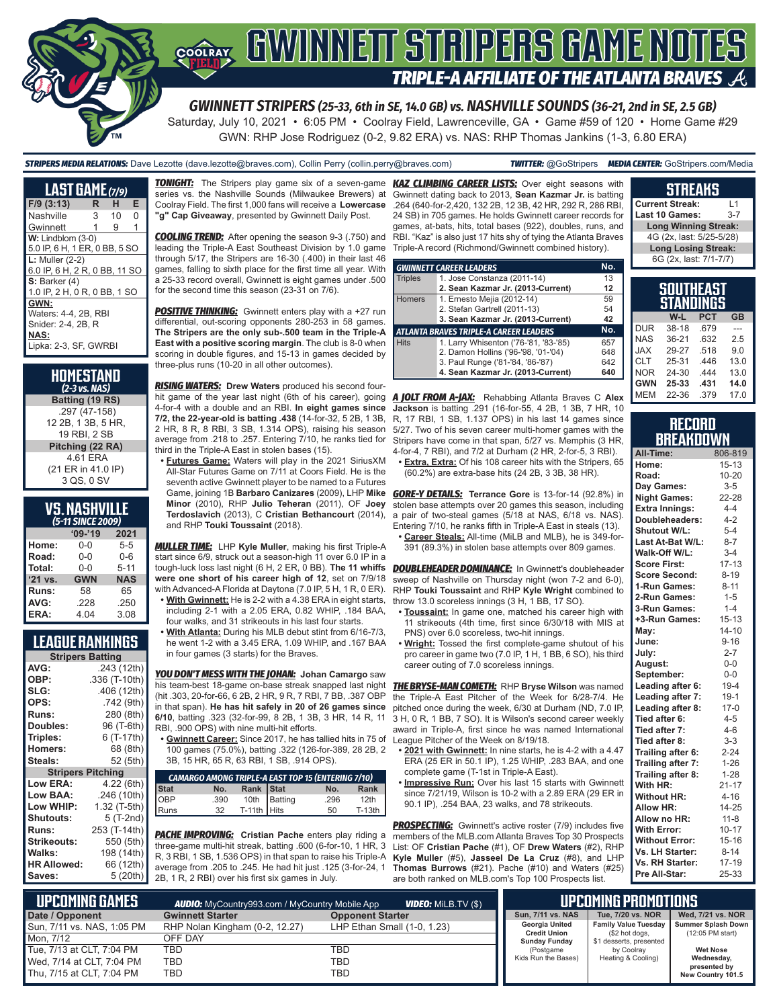

# COORAY GWINNEIT STRIPERS GAME NOTES TRIPLE-A AFFILIATE OF THE ATLANTA BRAVES  $\mathcal{A}_1$

*GWINNETT STRIPERS (25-33, 6th in SE, 14.0 GB) vs. NASHVILLE SOUNDS (36-21, 2nd in SE, 2.5 GB)*

Saturday, July 10, 2021 • 6:05 PM • Coolray Field, Lawrenceville, GA • Game #59 of 120 • Home Game #29 GWN: RHP Jose Rodriguez (0-2, 9.82 ERA) vs. NAS: RHP Thomas Jankins (1-3, 6.80 ERA)

*STRIPERS MEDIA RELATIONS:* Dave Lezotte (dave.lezotte@braves.com), Collin Perry (collin.perry@braves.com) *TWITTER:* @GoStripers *MEDIA CENTER:* GoStripers.com/Media

| <b>LAST GAME</b> (7/9)        |   |    |   |  |  |  |  |  |  |
|-------------------------------|---|----|---|--|--|--|--|--|--|
| $F/9$ (3:13)                  | R | н  | Е |  |  |  |  |  |  |
| Nashville                     | 3 | 10 | O |  |  |  |  |  |  |
| Gwinnett                      | 1 | 9  | 1 |  |  |  |  |  |  |
| $W:$ Lindblom $(3-0)$         |   |    |   |  |  |  |  |  |  |
| 5.0 IP, 6 H, 1 ER, 0 BB, 5 SO |   |    |   |  |  |  |  |  |  |
| $L:$ Muller $(2-2)$           |   |    |   |  |  |  |  |  |  |
| 6.0 IP. 6 H. 2 R. 0 BB. 11 SO |   |    |   |  |  |  |  |  |  |
| $S:$ Barker $(4)$             |   |    |   |  |  |  |  |  |  |
| 1.0 IP, 2 H, 0 R, 0 BB, 1 SO  |   |    |   |  |  |  |  |  |  |
| GWN:                          |   |    |   |  |  |  |  |  |  |
| Waters: 4-4, 2B, RBI          |   |    |   |  |  |  |  |  |  |
| Snider: 2-4, 2B, R            |   |    |   |  |  |  |  |  |  |
| <b>NAS:</b>                   |   |    |   |  |  |  |  |  |  |
| Lipka: 2-3. SF. GWRBI         |   |    |   |  |  |  |  |  |  |

#### **HOMESTAND**  *(2-3 vs. NAS)* **Batting (19 RS)** .297 (47-158) 12 2B, 1 3B, 5 HR, 19 RBI, 2 SB **Pitching (22 RA)** 4.61 ERA (21 ER in 41.0 IP) 3 QS, 0 SV

| <b>VS. NASHVILLE</b> |  |
|----------------------|--|
| (5-11 SINCE 2009)    |  |

| (J-11 JINLE ZUUY) |            |  |  |  |  |  |  |  |
|-------------------|------------|--|--|--|--|--|--|--|
| $09 - 19$         | 2021       |  |  |  |  |  |  |  |
| 0-0               | $5 - 5$    |  |  |  |  |  |  |  |
| $0 - 0$           | $0 - 6$    |  |  |  |  |  |  |  |
| $0 - 0$           | $5 - 11$   |  |  |  |  |  |  |  |
| <b>GWN</b>        | <b>NAS</b> |  |  |  |  |  |  |  |
| 58                | 65         |  |  |  |  |  |  |  |
| .228              | .250       |  |  |  |  |  |  |  |
| 4.04              | 3.08       |  |  |  |  |  |  |  |
|                   |            |  |  |  |  |  |  |  |

#### **LEAGUE RANKINGS**

| <b>Stripers Batting</b> |                 |
|-------------------------|-----------------|
| AVG:                    | .243 (12th)     |
| OBP:                    | .336 (T-10th)   |
| SLG:                    | .406 (12th)     |
| OPS:                    | .742 (9th)      |
| <b>Runs:</b>            | 280 (8th)       |
| <b>Doubles:</b>         | 96 (T-6th)      |
| Triples:                | 6 (T-17th)      |
| <b>Homers:</b>          | 68 (8th)        |
| Steals:                 | 52 (5th)        |
| <b>Stripers</b>         | <b>Pitching</b> |
| Low ERA:                | 4.22 (6th)      |
| Low BAA:                | .246 (10th)     |
| Low WHIP:               | 1.32 (T-5th)    |
| <b>Shutouts:</b>        | 5 (T-2nd)       |
| <b>Runs:</b>            | 253 (T-14th)    |
| Strikeouts:             | 550 (5th)       |
| Walks:                  | 198 (14th)      |
| <b>HR Allowed:</b>      | 66 (12th)       |
| Saves:                  | 5 (20th)        |

*TONIGHT:* The Stripers play game six of a seven-game *KAZ CLIMBING CAREER LISTS:* Over eight seasons with series vs. the Nashville Sounds (Milwaukee Brewers) at Coolray Field. The first 1,000 fans will receive a **Lowercase "g" Cap Giveaway**, presented by Gwinnett Daily Post.

*COOLING TREND:* After opening the season 9-3 (.750) and leading the Triple-A East Southeast Division by 1.0 game through 5/17, the Stripers are 16-30 (.400) in their last 46 games, falling to sixth place for the first time all year. With a 25-33 record overall, Gwinnett is eight games under .500 for the second time this season (23-31 on 7/6).

**POSITIVE THINKING:** Gwinnett enters play with a +27 run differential, out-scoring opponents 280-253 in 58 games. **The Stripers are the only sub-.500 team in the Triple-A East with a positive scoring margin**. The club is 8-0 when scoring in double figures, and 15-13 in games decided by three-plus runs (10-20 in all other outcomes).

*RISING WATERS:* **Drew Waters** produced his second fourhit game of the year last night (6th of his career), going 4-for-4 with a double and an RBI. **In eight games since 7/2, the 22-year-old is batting .438** (14-for-32, 5 2B, 1 3B, 2 HR, 8 R, 8 RBI, 3 SB, 1.314 OPS), raising his season average from .218 to .257. Entering 7/10, he ranks tied for third in the Triple-A East in stolen bases (15).

**• Futures Game:** Waters will play in the 2021 SiriusXM All-Star Futures Game on 7/11 at Coors Field. He is the seventh active Gwinnett player to be named to a Futures Game, joining 1B **Barbaro Canizares** (2009), LHP **Mike Minor** (2010), RHP **Julio Teheran** (2011), OF **Joey Terdoslavich** (2013), C **Cristian Bethancourt** (2014), and RHP **Touki Toussaint** (2018).

*MULLER TIME:* LHP **Kyle Muller**, making his first Triple-A start since 6/9, struck out a season-high 11 over 6.0 IP in a tough-luck loss last night (6 H, 2 ER, 0 BB). **The 11 whiffs were one short of his career high of 12**, set on 7/9/18 with Advanced-A Florida at Daytona (7.0 IP, 5 H, 1 R, 0 ER). **• With Gwinnett:** He is 2-2 with a 4.38 ERA in eight starts,

- including 2-1 with a 2.05 ERA, 0.82 WHIP, .184 BAA, four walks, and 31 strikeouts in his last four starts.
- **• With Atlanta:** During his MLB debut stint from 6/16-7/3, he went 1-2 with a 3.45 ERA, 1.09 WHIP, and .167 BAA in four games (3 starts) for the Braves.

*YOU DON'T MESS WITH THE JOHAN:* **Johan Camargo** saw his team-best 18-game on-base streak snapped last night (hit .303, 20-for-66, 6 2B, 2 HR, 9 R, 7 RBI, 7 BB, .387 OBP in that span). **He has hit safely in 20 of 26 games since 6/10**, batting .323 (32-for-99, 8 2B, 1 3B, 3 HR, 14 R, 11 RBI, .900 OPS) with nine multi-hit efforts.

**• Gwinnett Career:** Since 2017, he has tallied hits in 75 of 100 games (75.0%), batting .322 (126-for-389, 28 2B, 2 3B, 15 HR, 65 R, 63 RBI, 1 SB, .914 OPS).

|             |      |               | <b>CAMARGO AMONG TRIPLE-A EAST TOP 15 (ENTERING 7/10)</b> |      |                  |
|-------------|------|---------------|-----------------------------------------------------------|------|------------------|
| <b>Stat</b> | No.  | Rank Stat     |                                                           | No.  | Rank             |
| OBP         | .390 |               | 10th Batting                                              | .296 | 12 <sub>th</sub> |
| Runs        | 32   | T-11th $Hits$ |                                                           | 50   | $T-13th$         |

**PACHE IMPROVING:** Cristian Pache enters play riding a three-game multi-hit streak, batting .600 (6-for-10, 1 HR, 3 R, 3 RBI, 1 SB, 1.536 OPS) in that span to raise his Triple-A average from .205 to .245. He had hit just .125 (3-for-24, 1 2B, 1 R, 2 RBI) over his first six games in July.

Gwinnett dating back to 2013, **Sean Kazmar Jr.** is batting .264 (640-for-2,420, 132 2B, 12 3B, 42 HR, 292 R, 286 RBI, 24 SB) in 705 games. He holds Gwinnett career records for games, at-bats, hits, total bases (922), doubles, runs, and RBI. "Kaz" is also just 17 hits shy of tying the Atlanta Braves Triple-A record (Richmond/Gwinnett combined history).

| No.<br><b>GWINNETT CAREER LEADERS</b>                |                                       |     |  |  |  |  |  |  |
|------------------------------------------------------|---------------------------------------|-----|--|--|--|--|--|--|
| <b>Triples</b>                                       | 1. Jose Constanza (2011-14)           | 13  |  |  |  |  |  |  |
|                                                      | 2. Sean Kazmar Jr. (2013-Current)     |     |  |  |  |  |  |  |
| <b>Homers</b>                                        | 1. Ernesto Mejia (2012-14)            | 59  |  |  |  |  |  |  |
|                                                      | 2. Stefan Gartrell (2011-13)          | 54  |  |  |  |  |  |  |
|                                                      | 42                                    |     |  |  |  |  |  |  |
| No.<br><b>ATLANTA BRAVES TRIPLE-A CAREER LEADERS</b> |                                       |     |  |  |  |  |  |  |
| <b>Hits</b>                                          | 1. Larry Whisenton ('76-'81, '83-'85) | 657 |  |  |  |  |  |  |
|                                                      | 2. Damon Hollins ('96-'98, '01-'04)   | 648 |  |  |  |  |  |  |
|                                                      | 3. Paul Runge ('81-'84, '86-'87)      | 642 |  |  |  |  |  |  |
|                                                      | 4. Sean Kazmar Jr. (2013-Current)     | 640 |  |  |  |  |  |  |

*A JOLT FROM A-JAX:* Rehabbing Atlanta Braves C **Alex Jackson** is batting .291 (16-for-55, 4 2B, 1 3B, 7 HR, 10 R, 17 RBI, 1 SB, 1.137 OPS) in his last 14 games since 5/27. Two of his seven career multi-homer games with the Stripers have come in that span, 5/27 vs. Memphis (3 HR, 4-for-4, 7 RBI), and 7/2 at Durham (2 HR, 2-for-5, 3 RBI).

(60.2%) are extra-base hits (24 2B, 3 3B, 38 HR).

*GORE-Y DETAILS:* **Terrance Gore** is 13-for-14 (92.8%) in stolen base attempts over 20 games this season, including a pair of two-steal games (5/18 at NAS, 6/18 vs. NAS). Entering 7/10, he ranks fifth in Triple-A East in steals (13).

**• Career Steals:** All-time (MiLB and MLB), he is 349-for-391 (89.3%) in stolen base attempts over 809 games.

**DOUBLEHEADER DOMINANCE:** In Gwinnett's doubleheader sweep of Nashville on Thursday night (won 7-2 and 6-0), RHP **Touki Toussaint** and RHP **Kyle Wright** combined to throw 13.0 scoreless innings (3 H, 1 BB, 17 SO).

- **• Toussaint:** In game one, matched his career high with 11 strikeouts (4th time, first since 6/30/18 with MIS at PNS) over 6.0 scoreless, two-hit innings.
- **• Wright:** Tossed the first complete-game shutout of his pro career in game two (7.0 IP, 1 H, 1 BB, 6 SO), his third career outing of 7.0 scoreless innings.

*THE BRYSE-MAN COMETH:* RHP **Bryse Wilson** was named the Triple-A East Pitcher of the Week for 6/28-7/4. He pitched once during the week, 6/30 at Durham (ND, 7.0 IP, 3 H, 0 R, 1 BB, 7 SO). It is Wilson's second career weekly award in Triple-A, first since he was named International League Pitcher of the Week on 8/19/18.

- **• 2021 with Gwinnett:** In nine starts, he is 4-2 with a 4.47 ERA (25 ER in 50.1 IP), 1.25 WHIP, .283 BAA, and one complete game (T-1st in Triple-A East).
- **• Impressive Run:** Over his last 15 starts with Gwinnett since 7/21/19, Wilson is 10-2 with a 2.89 ERA (29 ER in 90.1 IP), .254 BAA, 23 walks, and 78 strikeouts.

**PROSPECTING:** Gwinnett's active roster (7/9) includes five members of the MLB.com Atlanta Braves Top 30 Prospects List: OF **Cristian Pache** (#1), OF **Drew Waters** (#2), RHP **Kyle Muller** (#5), **Jasseel De La Cruz** (#8), and LHP **Thomas Burrows** (#21). Pache (#10) and Waters (#25) are both ranked on MLB.com's Top 100 Prospects list.

#### **Current Streak:** L1 Last 10 Games: **Long Winning Streak:** 4G (2x, last: 5/25-5/28) **Long Losing Streak:** 6G (2x, last: 7/1-7/7)

**STREAKS**

|            | SOUTHEAST<br>STANDINGS |            |      |
|------------|------------------------|------------|------|
|            | W-L                    | <b>PCT</b> | GB   |
| <b>DUR</b> | 38-18                  | .679       |      |
| <b>NAS</b> | $36 - 21$              | .632       | 25   |
| <b>JAX</b> | 29-27                  | .518       | 9.0  |
| <b>CLT</b> | 25-31                  | .446       | 13.0 |
| <b>NOR</b> | 24-30                  | 444        | 13.0 |
| <b>GWN</b> | 25-33                  | .431       | 14.0 |
| <b>MEM</b> | 22-36                  | .379       | 17.0 |

#### **RECORD BREAKDOWN**

| All-Time:             | 806-819   |
|-----------------------|-----------|
| Home:                 | $15 - 13$ |
| Road:                 | $10 - 20$ |
| Day Games:            | $3-5$     |
| <b>Night Games:</b>   | 22-28     |
| <b>Extra Innings:</b> | $4 - 4$   |
| Doubleheaders:        | $4 - 2$   |
| Shutout W/L:          | $5 - 4$   |
| Last At-Bat W/L:      | $8 - 7$   |
| Walk-Off W/L:         | $3 - 4$   |
| <b>Score First:</b>   | $17 - 13$ |
| <b>Score Second:</b>  | $8 - 19$  |
| 1-Run Games:          | $8 - 11$  |
| 2-Run Games:          | $1 - 5$   |
| 3-Run Games:          | $1 - 4$   |
| +3-Run Games:         | $15 - 13$ |
| May:                  | $14 - 10$ |
| June:                 | $9 - 16$  |
| July:                 | $2 - 7$   |
| August:               | 0-0       |
| September:            | $0-0$     |
| Leading after 6:      | $19 - 4$  |
| Leading after 7:      | $19-1$    |
| Leading after 8:      | $17-0$    |
| Tied after 6:         | $4 - 5$   |
| Tied after 7:         | $4 - 6$   |
| Tied after 8:         | $3 - 3$   |
| Trailing after 6:     | $2 - 24$  |
| Trailing after 7:     | $1 - 26$  |
| Trailing after 8:     | $1 - 28$  |
| With HR:              | $21 - 17$ |
| <b>Without HR:</b>    | $4 - 16$  |
| <b>Allow HR:</b>      | 14-25     |
| Allow no HR:          | $11 - 8$  |
| <b>With Error:</b>    | $10 - 17$ |
| <b>Without Error:</b> | $15 - 16$ |
| Vs. LH Starter:       | $8 - 14$  |
| Vs. RH Starter:       | $17 - 19$ |
| Pre All-Star:         | 25-33     |

| L UPCOMIÑG GAMES I         | <b>AUDIO:</b> MyCountry993.com / MyCountry Mobile App |                             | UPCOMING PROMOTIONS                   |                                                             |                                   |  |
|----------------------------|-------------------------------------------------------|-----------------------------|---------------------------------------|-------------------------------------------------------------|-----------------------------------|--|
| Date / Opponent            | <b>Gwinnett Starter</b>                               | <b>Opponent Starter</b>     | Sun, 7/11 vs. NAS                     | Tue, 7/20 vs. NOR                                           | Wed, 7/21 vs. NOR                 |  |
| Sun, 7/11 vs. NAS, 1:05 PM | RHP Nolan Kingham (0-2, 12.27)                        | LHP Ethan Small (1-0, 1.23) | Georgia United<br><b>Credit Union</b> | Family Value Tuesday   Summer Splash Down<br>(\$2 hot dogs, | $(12:05$ PM start)                |  |
| Mon. 7/12                  | OFF DAY                                               |                             | <b>Sunday Funday</b>                  | \$1 desserts, presented                                     |                                   |  |
| Tue, 7/13 at CLT, 7:04 PM  | <b>TBD</b>                                            | TBD                         | (Postgame                             | by Coolrav                                                  | <b>Wet Nose</b>                   |  |
| Wed, 7/14 at CLT, 7:04 PM  | TBD                                                   | TBD                         | Kids Run the Bases)                   | Heating & Cooling)                                          | Wednesday,                        |  |
| Thu. 7/15 at CLT. 7:04 PM  | TBD                                                   | TBD                         |                                       |                                                             | presented by<br>New Country 101.5 |  |

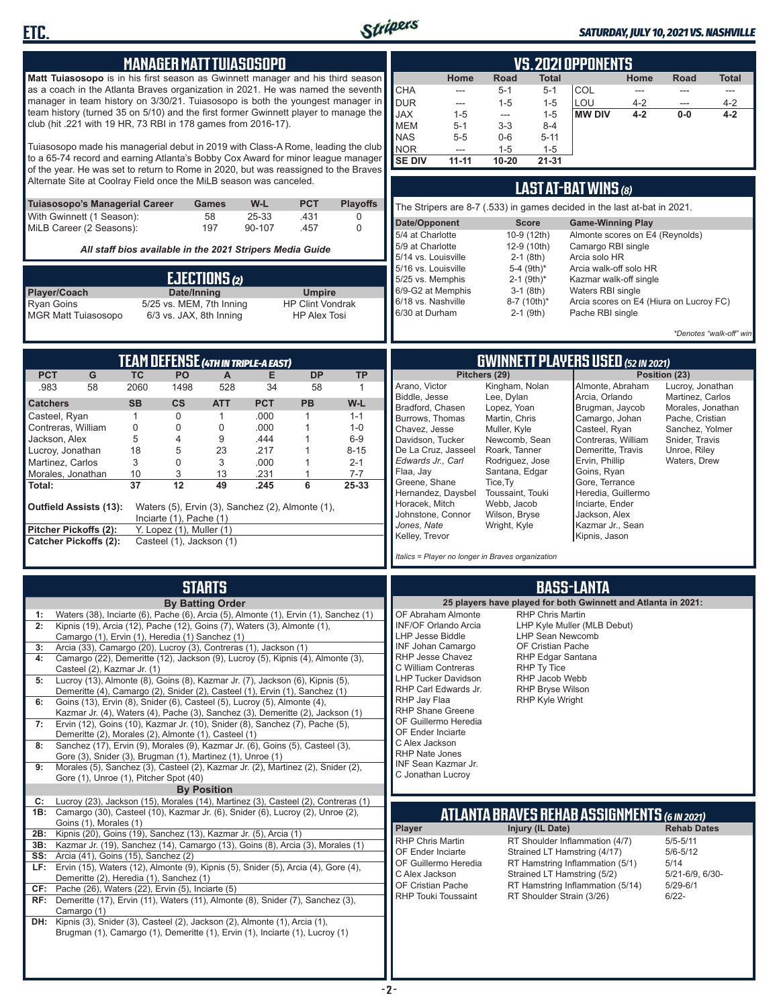

**ETC.**

#### *SATURDAY, JULY 10, 2021 VS. NASHVILLE*

|                                                                                                                                                                               |                                                                 | <b>MANAGER MATT TUIASOSOPO</b>                           |              |              |                         |                      | VS.2021 OPPONENTS                       |                  |                                                   |                                           |                                                                          |                          |                                      |                         |
|-------------------------------------------------------------------------------------------------------------------------------------------------------------------------------|-----------------------------------------------------------------|----------------------------------------------------------|--------------|--------------|-------------------------|----------------------|-----------------------------------------|------------------|---------------------------------------------------|-------------------------------------------|--------------------------------------------------------------------------|--------------------------|--------------------------------------|-------------------------|
| Matt Tuiasosopo is in his first season as Gwinnett manager and his third season                                                                                               |                                                                 |                                                          |              |              |                         |                      |                                         | Home             | Road                                              | Total                                     |                                                                          | Home                     | <b>Road</b>                          | <b>Total</b>            |
| as a coach in the Atlanta Braves organization in 2021. He was named the seventh                                                                                               |                                                                 |                                                          |              |              |                         |                      | <b>CHA</b>                              | $-$              | $5 - 1$                                           | $5 - 1$                                   | COL                                                                      | $\overline{\phantom{a}}$ | $\overline{a}$                       | $\cdots$                |
| manager in team history on 3/30/21. Tuiasosopo is both the youngest manager in<br>team history (turned 35 on 5/10) and the first former Gwinnett player to manage the         |                                                                 |                                                          |              |              |                         |                      | <b>DUR</b>                              | $---$            | $1 - 5$                                           | $1 - 5$                                   | LOU                                                                      | 4-2                      | $\overline{a}$                       | $4 - 2$                 |
| club (hit .221 with 19 HR, 73 RBI in 178 games from 2016-17).                                                                                                                 |                                                                 |                                                          |              |              |                         |                      | <b>JAX</b><br><b>MEM</b>                | $1 - 5$<br>$5-1$ | $\overline{\phantom{a}}$<br>$3 - 3$               | $1 - 5$<br>$8 - 4$                        | <b>MW DIV</b>                                                            | $4 - 2$                  | $0-0$                                | $4 - 2$                 |
|                                                                                                                                                                               |                                                                 |                                                          |              |              |                         |                      | <b>NAS</b>                              | $5 - 5$          | $0 - 6$                                           | $5 - 11$                                  |                                                                          |                          |                                      |                         |
| Tuiasosopo made his managerial debut in 2019 with Class-A Rome, leading the club                                                                                              |                                                                 |                                                          |              |              |                         |                      | <b>NOR</b>                              | ---              | $1 - 5$                                           | $1 - 5$                                   |                                                                          |                          |                                      |                         |
| to a 65-74 record and earning Atlanta's Bobby Cox Award for minor league manager<br>of the year. He was set to return to Rome in 2020, but was reassigned to the Braves       |                                                                 |                                                          |              |              |                         |                      | <b>SE DIV</b>                           | $11 - 11$        | $10 - 20$                                         | $21 - 31$                                 |                                                                          |                          |                                      |                         |
| Alternate Site at Coolray Field once the MiLB season was canceled.                                                                                                            |                                                                 |                                                          |              |              |                         |                      |                                         |                  |                                                   |                                           |                                                                          |                          |                                      |                         |
|                                                                                                                                                                               |                                                                 |                                                          |              |              |                         |                      |                                         |                  |                                                   |                                           | <b>LAST AT-BAT WINS (8)</b>                                              |                          |                                      |                         |
| Tuiasosopo's Managerial Career<br>With Gwinnett (1 Season):                                                                                                                   |                                                                 | Games<br>58                                              |              | W-L<br>25-33 | <b>PCT</b><br>.431      | <b>Playoffs</b><br>0 |                                         |                  |                                                   |                                           | The Stripers are 8-7 (.533) in games decided in the last at-bat in 2021. |                          |                                      |                         |
| MiLB Career (2 Seasons):                                                                                                                                                      |                                                                 | 197                                                      |              | 90-107       | .457                    | 0                    | Date/Opponent                           |                  |                                                   | <b>Score</b>                              | <b>Game-Winning Play</b>                                                 |                          |                                      |                         |
|                                                                                                                                                                               |                                                                 |                                                          |              |              |                         |                      | 5/4 at Charlotte<br>5/9 at Charlotte    |                  |                                                   | 10-9 (12th)<br>12-9 (10th)                | Almonte scores on E4 (Reynolds)<br>Camargo RBI single                    |                          |                                      |                         |
|                                                                                                                                                                               | All staff bios available in the 2021 Stripers Media Guide       |                                                          |              |              |                         |                      | 5/14 vs. Louisville                     |                  |                                                   | $2-1$ (8th)                               | Arcia solo HR                                                            |                          |                                      |                         |
|                                                                                                                                                                               |                                                                 |                                                          |              |              |                         |                      | 5/16 vs. Louisville<br>5/25 vs. Memphis |                  |                                                   | 5-4 (9th)*<br>$2-1$ (9th)*                | Arcia walk-off solo HR<br>Kazmar walk-off single                         |                          |                                      |                         |
| Player/Coach                                                                                                                                                                  | <b>EJECTIONS</b> <sup>(2)</sup><br>Date/Inning<br><b>Umpire</b> |                                                          |              |              |                         | 6/9-G2 at Memphis    |                                         |                  | $3-1$ (8th)                                       | Waters RBI single                         |                                                                          |                          |                                      |                         |
| <b>Ryan Goins</b>                                                                                                                                                             |                                                                 | 5/25 vs. MEM, 7th Inning                                 |              |              | <b>HP Clint Vondrak</b> |                      | 6/18 vs. Nashville                      |                  |                                                   | 8-7 (10th)*                               | Arcia scores on E4 (Hiura on Lucroy FC)                                  |                          |                                      |                         |
| <b>MGR Matt Tuiasosopo</b>                                                                                                                                                    |                                                                 | 6/3 vs. JAX, 8th Inning                                  |              |              | <b>HP Alex Tosi</b>     |                      | 6/30 at Durham                          |                  |                                                   | $2-1$ (9th)                               | Pache RBI single                                                         |                          |                                      |                         |
|                                                                                                                                                                               |                                                                 |                                                          |              |              |                         |                      |                                         |                  |                                                   |                                           |                                                                          |                          |                                      | *Denotes "walk-off" win |
|                                                                                                                                                                               |                                                                 |                                                          |              |              |                         |                      |                                         |                  |                                                   |                                           |                                                                          |                          |                                      |                         |
| <b>TEAM DEFENSE (4TH IN TRIPLE-A EAST)</b><br><b>PCT</b><br>G<br><b>TC</b><br>PO<br>E<br><b>DP</b><br><b>TP</b>                                                               |                                                                 |                                                          |              |              |                         |                      |                                         | Pitchers (29)    |                                                   | <b>GWINNETT PLAYERS USED (52 IN 2021)</b> |                                                                          | Position (23)            |                                      |                         |
| .983<br>58                                                                                                                                                                    | 2060                                                            | 1498                                                     | A<br>528     | 34           | 58                      | $\mathbf{1}$         | Arano, Victor                           |                  | Kingham, Nolan                                    |                                           | Almonte, Abraham                                                         |                          | Lucroy, Jonathan                     |                         |
| Catchers                                                                                                                                                                      | <b>SB</b>                                                       | <b>CS</b>                                                | <b>ATT</b>   | <b>PCT</b>   | <b>PB</b>               | W-L                  | Biddle, Jesse                           |                  | Lee, Dylan                                        |                                           | Arcia, Orlando                                                           |                          | Martinez, Carlos                     |                         |
| Casteel, Ryan                                                                                                                                                                 | $\mathbf{1}$                                                    | 0                                                        | $\mathbf{1}$ | .000         | $\mathbf{1}$            | $1 - 1$              | Bradford, Chasen<br>Burrows, Thomas     |                  | Lopez, Yoan<br>Martin, Chris                      |                                           | Brugman, Jaycob<br>Camargo, Johan                                        |                          | Morales, Jonathan<br>Pache, Cristian |                         |
| Contreras, William                                                                                                                                                            | 0                                                               | 0                                                        | $\mathbf 0$  | .000         | $\mathbf{1}$            | $1 - 0$              | Chavez, Jesse                           |                  | Muller, Kyle                                      |                                           | Casteel, Ryan                                                            |                          | Sanchez, Yolmer                      |                         |
| Jackson, Alex                                                                                                                                                                 | 5                                                               | 4                                                        | 9            | .444         | $\mathbf{1}$            | $6-9$                | Davidson, Tucker                        |                  | Newcomb, Sean                                     |                                           | Contreras, William                                                       |                          | Snider, Travis                       |                         |
| Lucroy, Jonathan                                                                                                                                                              | 18                                                              | 5                                                        | 23           | .217         | 1                       | $8 - 15$             | De La Cruz, Jasseel                     |                  | Roark, Tanner                                     |                                           | Demeritte, Travis                                                        |                          | Unroe, Riley                         |                         |
| Martinez, Carlos<br>Morales, Jonathan                                                                                                                                         | 3<br>10                                                         | $\mathbf 0$<br>3                                         | 3<br>13      | .000<br>.231 | $\mathbf{1}$<br>1       | $2 - 1$<br>$7 - 7$   | Edwards Jr., Carl<br>Flaa, Jay          |                  | Rodriguez, Jose<br>Santana, Edgar                 |                                           | Ervin, Phillip<br>Goins, Ryan                                            |                          | Waters, Drew                         |                         |
| Total:                                                                                                                                                                        | 37                                                              | 12                                                       | 49           | .245         | $\overline{6}$          | 25-33                | Greene, Shane                           |                  | Tice, Ty                                          |                                           | Gore, Terrance                                                           |                          |                                      |                         |
|                                                                                                                                                                               |                                                                 |                                                          |              |              |                         |                      | Hernandez, Daysbel<br>Horacek, Mitch    |                  | Toussaint, Touki                                  |                                           | Heredia, Guillermo                                                       |                          |                                      |                         |
| Outfield Assists (13):                                                                                                                                                        |                                                                 | Waters (5), Ervin (3), Sanchez (2), Almonte (1),         |              |              |                         |                      | Johnstone, Connor                       |                  | Webb, Jacob<br>Wilson, Bryse                      |                                           | Inciarte, Ender<br>Jackson, Alex                                         |                          |                                      |                         |
| Pitcher Pickoffs (2):                                                                                                                                                         |                                                                 | Inciarte $(1)$ , Pache $(1)$<br>Y. Lopez (1), Muller (1) |              |              |                         |                      | Jones, Nate                             |                  | Wright, Kyle                                      |                                           | Kazmar Jr., Sean                                                         |                          |                                      |                         |
| <b>Catcher Pickoffs (2):</b>                                                                                                                                                  |                                                                 | Casteel (1), Jackson (1)                                 |              |              |                         |                      | Kelley, Trevor                          |                  |                                                   |                                           | Kipnis, Jason                                                            |                          |                                      |                         |
|                                                                                                                                                                               |                                                                 |                                                          |              |              |                         |                      |                                         |                  | Italics = Player no longer in Braves organization |                                           |                                                                          |                          |                                      |                         |
|                                                                                                                                                                               |                                                                 |                                                          |              |              |                         |                      |                                         |                  |                                                   |                                           |                                                                          |                          |                                      |                         |
|                                                                                                                                                                               |                                                                 | <b>STARTS</b>                                            |              |              |                         |                      |                                         |                  |                                                   |                                           | <b>BASS-LANTA</b>                                                        |                          |                                      |                         |
|                                                                                                                                                                               |                                                                 | <b>By Batting Order</b>                                  |              |              |                         |                      | OF Abraham Almonte                      |                  |                                                   | <b>RHP Chris Martin</b>                   | 25 players have played for both Gwinnett and Atlanta in 2021:            |                          |                                      |                         |
| Waters (38), Inciarte (6), Pache (6), Arcia (5), Almonte (1), Ervin (1), Sanchez (1)<br>1:<br>Kipnis (19), Arcia (12), Pache (12), Goins (7), Waters (3), Almonte (1),        |                                                                 |                                                          |              |              |                         |                      | INF/OF Orlando Arcia                    |                  |                                                   |                                           | LHP Kyle Muller (MLB Debut)                                              |                          |                                      |                         |
| Camargo (1), Ervin (1), Heredia (1) Sanchez (1)                                                                                                                               |                                                                 |                                                          |              |              |                         |                      | <b>LHP Jesse Biddle</b>                 |                  |                                                   | <b>LHP Sean Newcomb</b>                   |                                                                          |                          |                                      |                         |
| Arcia (33), Camargo (20), Lucroy (3), Contreras (1), Jackson (1)<br>3:                                                                                                        |                                                                 |                                                          |              |              |                         |                      | INF Johan Camargo<br>RHP Jesse Chavez   |                  |                                                   | OF Cristian Pache                         |                                                                          |                          |                                      |                         |
| Camargo (22), Demeritte (12), Jackson (9), Lucroy (5), Kipnis (4), Almonte (3),<br>4:<br>Casteel (2), Kazmar Jr. (1)                                                          |                                                                 |                                                          |              |              |                         |                      | C William Contreras                     |                  |                                                   | RHP Edgar Santana<br>RHP Ty Tice          |                                                                          |                          |                                      |                         |
| Lucroy (13), Almonte (8), Goins (8), Kazmar Jr. (7), Jackson (6), Kipnis (5),<br>5:                                                                                           |                                                                 |                                                          |              |              |                         |                      | <b>LHP Tucker Davidson</b>              |                  |                                                   | RHP Jacob Webb                            |                                                                          |                          |                                      |                         |
| Demeritte (4), Camargo (2), Snider (2), Casteel (1), Ervin (1), Sanchez (1)                                                                                                   |                                                                 |                                                          |              |              |                         |                      | RHP Carl Edwards Jr.                    |                  |                                                   | RHP Bryse Wilson                          |                                                                          |                          |                                      |                         |
| Goins (13), Ervin (8), Snider (6), Casteel (5), Lucroy (5), Almonte (4),<br>6:                                                                                                |                                                                 |                                                          |              |              |                         |                      | RHP Jay Flaa<br><b>RHP Shane Greene</b> |                  |                                                   | RHP Kyle Wright                           |                                                                          |                          |                                      |                         |
| Kazmar Jr. (4), Waters (4), Pache (3), Sanchez (3), Demeritte (2), Jackson (1)<br>Ervin (12), Goins (10), Kazmar Jr. (10), Snider (8), Sanchez (7), Pache (5),<br>7:          |                                                                 |                                                          |              |              |                         |                      | OF Guillermo Heredia                    |                  |                                                   |                                           |                                                                          |                          |                                      |                         |
| Demeritte (2), Morales (2), Almonte (1), Casteel (1)                                                                                                                          |                                                                 |                                                          |              |              |                         |                      | OF Ender Inciarte                       |                  |                                                   |                                           |                                                                          |                          |                                      |                         |
| Sanchez (17), Ervin (9), Morales (9), Kazmar Jr. (6), Goins (5), Casteel (3),<br>8:                                                                                           |                                                                 |                                                          |              |              |                         |                      | C Alex Jackson<br><b>RHP Nate Jones</b> |                  |                                                   |                                           |                                                                          |                          |                                      |                         |
| Gore (3), Snider (3), Brugman (1), Martinez (1), Unroe (1)<br>Morales (5), Sanchez (3), Casteel (2), Kazmar Jr. (2), Martinez (2), Snider (2),<br>9:                          |                                                                 |                                                          |              |              |                         |                      | INF Sean Kazmar Jr.                     |                  |                                                   |                                           |                                                                          |                          |                                      |                         |
| Gore (1), Unroe (1), Pitcher Spot (40)                                                                                                                                        |                                                                 |                                                          |              |              |                         |                      | C Jonathan Lucroy                       |                  |                                                   |                                           |                                                                          |                          |                                      |                         |
|                                                                                                                                                                               |                                                                 | <b>By Position</b>                                       |              |              |                         |                      |                                         |                  |                                                   |                                           |                                                                          |                          |                                      |                         |
| Lucroy (23), Jackson (15), Morales (14), Martinez (3), Casteel (2), Contreras (1)<br>C:<br>1B: Camargo (30), Casteel (10), Kazmar Jr. (6), Snider (6), Lucroy (2), Unroe (2), |                                                                 |                                                          |              |              |                         |                      |                                         |                  |                                                   |                                           |                                                                          |                          |                                      |                         |
| Goins (1), Morales (1)                                                                                                                                                        |                                                                 |                                                          |              |              |                         |                      |                                         |                  |                                                   |                                           | ATLANTA BRAVES REHAB ASSIGNMENTS (6 IN 2021)                             |                          |                                      |                         |
| Kipnis (20), Goins (19), Sanchez (13), Kazmar Jr. (5), Arcia (1)<br>2B:                                                                                                       |                                                                 |                                                          |              |              |                         |                      | Player                                  |                  |                                                   | Injury (IL Date)                          |                                                                          |                          | <b>Rehab Dates</b>                   |                         |
| Kazmar Jr. (19), Sanchez (14), Camargo (13), Goins (8), Arcia (3), Morales (1)<br>3B:                                                                                         |                                                                 |                                                          |              |              |                         |                      | RHP Chris Martin<br>OF Ender Inciarte   |                  |                                                   |                                           | RT Shoulder Inflammation (4/7)<br>Strained LT Hamstring (4/17)           |                          | $5/5 - 5/11$<br>$5/6 - 5/12$         |                         |
| Arcia (41), Goins (15), Sanchez (2)<br>SS:                                                                                                                                    |                                                                 |                                                          |              |              |                         |                      | OF Guillermo Heredia                    |                  |                                                   |                                           | RT Hamstring Inflammation (5/1)                                          |                          | 5/14                                 |                         |
| LF: Ervin (15), Waters (12), Almonte (9), Kipnis (5), Snider (5), Arcia (4), Gore (4),<br>Demeritte (2), Heredia (1), Sanchez (1)                                             |                                                                 |                                                          |              |              |                         |                      | C Alex Jackson                          |                  |                                                   |                                           | Strained LT Hamstring (5/2)                                              |                          | 5/21-6/9, 6/30-                      |                         |
| $CF:$ Pache (26), Waters (22), Ervin (5), Inciarte (5)                                                                                                                        |                                                                 |                                                          |              |              |                         |                      | OF Cristian Pache                       |                  |                                                   |                                           | RT Hamstring Inflammation (5/14)                                         |                          | $5/29 - 6/1$                         |                         |
| RF: Demeritte (17), Ervin (11), Waters (11), Almonte (8), Snider (7), Sanchez (3),                                                                                            |                                                                 |                                                          |              |              |                         |                      | <b>RHP Touki Toussaint</b>              |                  |                                                   |                                           | RT Shoulder Strain (3/26)                                                |                          | $6/22 -$                             |                         |
| Camargo (1)                                                                                                                                                                   |                                                                 |                                                          |              |              |                         |                      |                                         |                  |                                                   |                                           |                                                                          |                          |                                      |                         |
| DH: Kipnis (3), Snider (3), Casteel (2), Jackson (2), Almonte (1), Arcia (1),<br>Brugman (1), Camargo (1), Demeritte (1), Ervin (1), Inciarte (1), Lucroy (1)                 |                                                                 |                                                          |              |              |                         |                      |                                         |                  |                                                   |                                           |                                                                          |                          |                                      |                         |
|                                                                                                                                                                               |                                                                 |                                                          |              |              |                         |                      |                                         |                  |                                                   |                                           |                                                                          |                          |                                      |                         |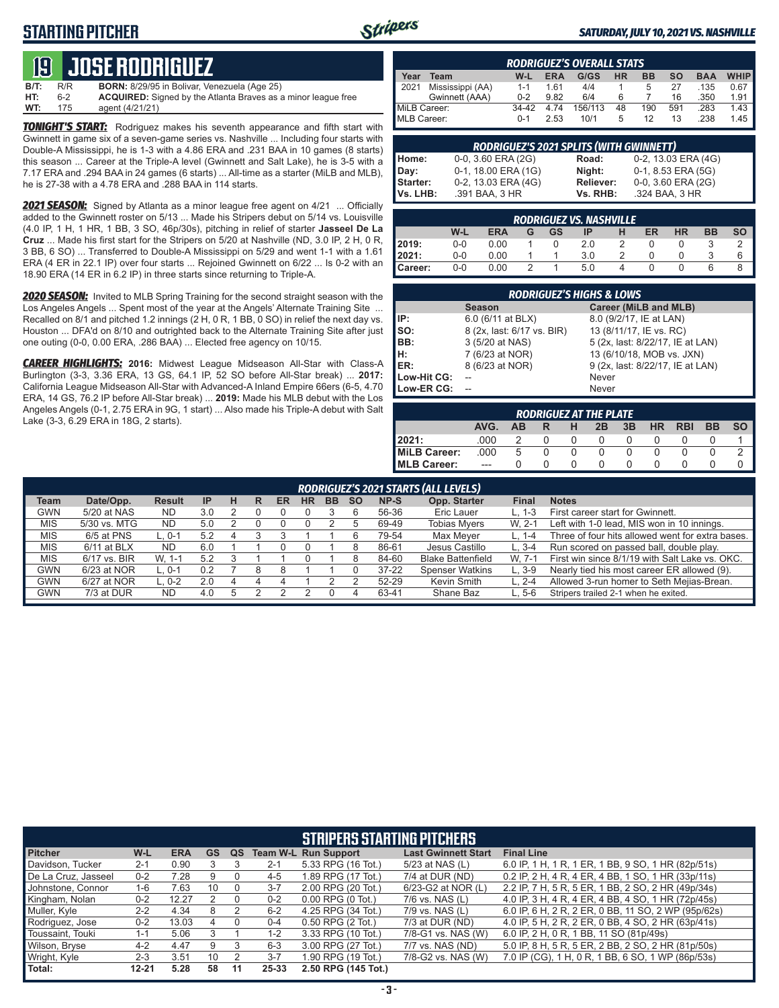## **STARTING PITCHER**



#### *SATURDAY, JULY 10, 2021 VS. NASHVILLE*

# **19****JOSE RODRIGUEZ**

| <b>B/T:</b> | R/R | <b>BORN:</b> 8/29/95 in Bolivar, Venezuela (Age 25)                  |
|-------------|-----|----------------------------------------------------------------------|
| HT:         | հ-2 | <b>ACQUIRED:</b> Signed by the Atlanta Braves as a minor league free |
| WT:         | 175 | agent (4/21/21)                                                      |

**TONIGHT'S START:** Rodriguez makes his seventh appearance and fifth start with Gwinnett in game six of a seven-game series vs. Nashville ... Including four starts with Double-A Mississippi, he is 1-3 with a 4.86 ERA and .231 BAA in 10 games (8 starts) this season ... Career at the Triple-A level (Gwinnett and Salt Lake), he is 3-5 with a 7.17 ERA and .294 BAA in 24 games (6 starts) ... All-time as a starter (MiLB and MLB), he is 27-38 with a 4.78 ERA and .288 BAA in 114 starts.

*2021 SEASON:* Signed by Atlanta as a minor league free agent on 4/21 ... Officially added to the Gwinnett roster on 5/13 ... Made his Stripers debut on 5/14 vs. Louisville (4.0 IP, 1 H, 1 HR, 1 BB, 3 SO, 46p/30s), pitching in relief of starter **Jasseel De La Cruz** ... Made his first start for the Stripers on 5/20 at Nashville (ND, 3.0 IP, 2 H, 0 R, 3 BB, 6 SO) ... Transferred to Double-A Mississippi on 5/29 and went 1-1 with a 1.61 ERA (4 ER in 22.1 IP) over four starts ... Rejoined Gwinnett on 6/22 ... Is 0-2 with an 18.90 ERA (14 ER in 6.2 IP) in three starts since returning to Triple-A.

*2020 SEASON:* Invited to MLB Spring Training for the second straight season with the Los Angeles Angels ... Spent most of the year at the Angels' Alternate Training Site ... Recalled on 8/1 and pitched 1.2 innings (2 H, 0 R, 1 BB, 0 SO) in relief the next day vs. Houston ... DFA'd on 8/10 and outrighted back to the Alternate Training Site after just one outing (0-0, 0.00 ERA, .286 BAA) ... Elected free agency on 10/15.

*CAREER HIGHLIGHTS:* **2016:** Midwest League Midseason All-Star with Class-A Burlington (3-3, 3.36 ERA, 13 GS, 64.1 IP, 52 SO before All-Star break) ... **2017:** California League Midseason All-Star with Advanced-A Inland Empire 66ers (6-5, 4.70 ERA, 14 GS, 76.2 IP before All-Star break) ... **2019:** Made his MLB debut with the Los Angeles Angels (0-1, 2.75 ERA in 9G, 1 start) ... Also made his Triple-A debut with Salt Lake (3-3, 6.29 ERA in 18G, 2 starts).

| <b>RODRIGUEZ'S OVERALL STATS</b>                                                                         |                  |         |      |         |    |     |     |      |      |  |
|----------------------------------------------------------------------------------------------------------|------------------|---------|------|---------|----|-----|-----|------|------|--|
| <b>WHIP</b><br>G/GS<br><b>HR</b><br><b>SO</b><br>Year<br>BB<br><b>BAA</b><br><b>ERA</b><br>$W-L$<br>Team |                  |         |      |         |    |     |     |      |      |  |
| 2021                                                                                                     | Mississippi (AA) | $1 - 1$ | 161  | 4/4     |    | 5   | 27  | .135 | 0.67 |  |
|                                                                                                          | Gwinnett (AAA)   | $0 - 2$ | 9.82 | 6/4     | 6  |     | 16  | .350 | 1.91 |  |
| MiLB Career:                                                                                             |                  | $34-42$ | 4 74 | 156/113 | 48 | 190 | 591 | .283 | 1.43 |  |
| MLB Career:                                                                                              |                  | $0 - 1$ | 2.53 | 10/1    | 5  | 12  | 13  | .238 | 1.45 |  |

|                                       | <b>RODRIGUEZ'S 2021 SPLITS (WITH GWINNETT)</b> |           |                     |  |  |  |  |  |  |  |  |
|---------------------------------------|------------------------------------------------|-----------|---------------------|--|--|--|--|--|--|--|--|
| Home:<br>Day:<br>Starter:<br>Vs. LHB: | 0-0, 3.60 ERA (2G)                             | Road:     | 0-2, 13.03 ERA (4G) |  |  |  |  |  |  |  |  |
|                                       | 0-1, 18.00 ERA (1G)                            | Night:    | 0-1, 8.53 ERA (5G)  |  |  |  |  |  |  |  |  |
|                                       | 0-2, 13.03 ERA (4G)                            | Reliever: | 0-0, 3.60 ERA (2G)  |  |  |  |  |  |  |  |  |
|                                       | .391 BAA, 3 HR                                 | Vs. RHB:  | .324 BAA, 3 HR      |  |  |  |  |  |  |  |  |

|         | <b>RODRIGUEZ VS. NASHVILLE</b> |            |   |    |     |               |    |           |           |           |  |  |  |
|---------|--------------------------------|------------|---|----|-----|---------------|----|-----------|-----------|-----------|--|--|--|
|         | W-L                            | <b>ERA</b> | G | GS | ΙP  | н             | ER | <b>HR</b> | <b>BB</b> | <b>SO</b> |  |  |  |
| 2019:   | $0 - 0$                        | 0.00       |   |    | 2.0 | $\mathcal{P}$ |    |           |           |           |  |  |  |
| 12021:  | $0 - 0$                        | 0.00       |   |    | 3.0 |               |    |           |           | 6         |  |  |  |
| Career: | $0 - 0$                        | 0.00       |   |    | 5.0 | 4             |    |           |           |           |  |  |  |

|             | <b>RODRIGUEZ'S HIGHS &amp; LOWS</b> |                                  |
|-------------|-------------------------------------|----------------------------------|
|             | <b>Season</b>                       | Career (MiLB and MLB)            |
| IP:         | 6.0 (6/11 at BLX)                   | 8.0 (9/2/17, IE at LAN)          |
| Iso:        | 8 (2x, last: 6/17 vs. BIR)          | 13 (8/11/17, IE vs. RC)          |
| BB:         | 3 (5/20 at NAS)                     | 5 (2x, last: 8/22/17, IE at LAN) |
| H:          | 7 (6/23 at NOR)                     | 13 (6/10/18, MOB vs. JXN)        |
| <b>IER:</b> | 8 (6/23 at NOR)                     | 9 (2x, last: 8/22/17, IE at LAN) |
| Low-Hit CG: |                                     | Never                            |
| Low-ER CG:  |                                     | Never                            |

| <b>RODRIGUEZ AT THE PLATE</b> |                                                                                        |   |          |              |   |  |  |  |  |  |  |  |  |  |
|-------------------------------|----------------------------------------------------------------------------------------|---|----------|--------------|---|--|--|--|--|--|--|--|--|--|
|                               | AVG.<br><b>SO</b><br><b>HR</b><br>3B<br><b>BB</b><br><b>RBI</b><br>2B<br>ΔR.<br>н<br>R |   |          |              |   |  |  |  |  |  |  |  |  |  |
| 2021:                         | .000                                                                                   |   | $\Omega$ | 0            | 0 |  |  |  |  |  |  |  |  |  |
| <b>MiLB Career:</b>           | .000                                                                                   | 5 | 0        |              |   |  |  |  |  |  |  |  |  |  |
| MLB Career:                   | $---$                                                                                  |   |          | $\mathbf{U}$ |   |  |  |  |  |  |  |  |  |  |

|            | RODRIGUEZ'S 2021 STARTS (ALL LEVELS) |               |     |   |  |    |           |           |           |           |                          |              |                                                  |
|------------|--------------------------------------|---------------|-----|---|--|----|-----------|-----------|-----------|-----------|--------------------------|--------------|--------------------------------------------------|
| Team       | Date/Opp.                            | <b>Result</b> | -IP | н |  | ER | <b>HR</b> | <b>BB</b> | <b>SO</b> | NP-S      | Opp. Starter             | <b>Final</b> | <b>Notes</b>                                     |
| <b>GWN</b> | 5/20 at NAS                          | <b>ND</b>     | 3.0 |   |  |    |           |           |           | 56-36     | <b>Eric Lauer</b>        | $L. 1-3$     | First career start for Gwinnett.                 |
| <b>MIS</b> | 5/30 vs. MTG                         | <b>ND</b>     | 5.0 |   |  |    |           |           |           | 69-49     | <b>Tobias Myers</b>      | W. 2-1       | Left with 1-0 lead, MIS won in 10 innings.       |
| <b>MIS</b> | 6/5 at PNS                           | $-0.1$        | 5.2 |   |  |    |           |           |           | 79-54     | Max Meyer                | L. $1-4$     | Three of four hits allowed went for extra bases. |
| <b>MIS</b> | $6/11$ at BLX                        | <b>ND</b>     | 6.0 |   |  |    |           |           |           | 86-61     | Jesus Castillo           | $L.3 - 4$    | Run scored on passed ball, double play.          |
| <b>MIS</b> | 6/17 vs. BIR                         | W. 1-1        | 5.2 |   |  |    |           |           |           | 84-60     | <b>Blake Battenfield</b> | W. 7-1       | First win since 8/1/19 with Salt Lake vs. OKC.   |
| <b>GWN</b> | 6/23 at NOR                          | $L. 0-1$      | 0.2 |   |  |    |           |           |           | $37 - 22$ | <b>Spenser Watkins</b>   | $L.3-9$      | Nearly tied his most career ER allowed (9).      |
| <b>GWN</b> | 6/27 at NOR                          | $-.0-2$       | 2.0 |   |  |    |           |           |           | 52-29     | Kevin Smith              | $L. 2 - 4$   | Allowed 3-run homer to Seth Mejias-Brean.        |
| <b>GWN</b> | 7/3 at DUR                           | ND            | 4.0 |   |  |    |           |           |           | 63-41     | Shane Baz                | $L.5-6$      | Stripers trailed 2-1 when he exited.             |

|                     |           |            |    |          |         | <b>STRIPERS STARTING PITCHERS</b> |                            |                                                     |
|---------------------|-----------|------------|----|----------|---------|-----------------------------------|----------------------------|-----------------------------------------------------|
| <b>Pitcher</b>      | W-L       | <b>ERA</b> | GS | QS       |         | <b>Team W-L Run Support</b>       | <b>Last Gwinnett Start</b> | <b>Final Line</b>                                   |
| Davidson, Tucker    | $2 - 1$   | 0.90       |    |          | $2 - 1$ | 5.33 RPG (16 Tot.)                | 5/23 at NAS (L)            | 6.0 IP, 1 H, 1 R, 1 ER, 1 BB, 9 SO, 1 HR (82p/51s)  |
| De La Cruz. Jasseel | $0 - 2$   | 7.28       | 9  |          | $4 - 5$ | 1.89 RPG (17 Tot.)                | 7/4 at DUR (ND)            | 0.2 IP, 2 H, 4 R, 4 ER, 4 BB, 1 SO, 1 HR (33p/11s)  |
| Johnstone, Connor   | 1-6       | 7.63       | 10 |          | $3 - 7$ | 2.00 RPG (20 Tot.)                | 6/23-G2 at NOR (L)         | 2.2 IP, 7 H, 5 R, 5 ER, 1 BB, 2 SO, 2 HR (49p/34s)  |
| Kingham, Nolan      | $0 - 2$   | 12.27      |    |          | $0 - 2$ | $0.00$ RPG $(0$ Tot.)             | 7/6 vs. NAS (L)            | 4.0 IP, 3 H, 4 R, 4 ER, 4 BB, 4 SO, 1 HR (72p/45s)  |
| Muller, Kyle        | $2 - 2$   | 4.34       | 8  |          | $6 - 2$ | 4.25 RPG (34 Tot.)                | 7/9 vs. NAS (L)            | 6.0 IP, 6 H, 2 R, 2 ER, 0 BB, 11 SO, 2 WP (95p/62s) |
| Rodriguez, Jose     | $0 - 2$   | 13.03      | 4  | $\Omega$ | $0 - 4$ | 0.50 RPG (2 Tot.)                 | 7/3 at DUR (ND)            | 4.0 IP, 5 H, 2 R, 2 ER, 0 BB, 4 SO, 2 HR (63p/41s)  |
| Toussaint, Touki    | 1-1       | 5.06       |    |          | 1-2     | 3.33 RPG (10 Tot.)                | 7/8-G1 vs. NAS (W)         | 6.0 IP, 2 H, 0 R, 1 BB, 11 SO (81p/49s)             |
| Wilson, Bryse       | $4 - 2$   | 4.47       | 9  |          | $6 - 3$ | 3.00 RPG (27 Tot.)                | 7/7 vs. NAS (ND)           | 5.0 IP, 8 H, 5 R, 5 ER, 2 BB, 2 SO, 2 HR (81p/50s)  |
| Wright, Kyle        | $2 - 3$   | 3.51       | 10 |          | $3 - 7$ | 1.90 RPG (19 Tot.)                | 7/8-G2 vs. NAS (W)         | 7.0 IP (CG), 1 H, 0 R, 1 BB, 6 SO, 1 WP (86p/53s)   |
| Total:              | $12 - 21$ | 5.28       | 58 | 11       | 25-33   | 2.50 RPG (145 Tot.)               |                            |                                                     |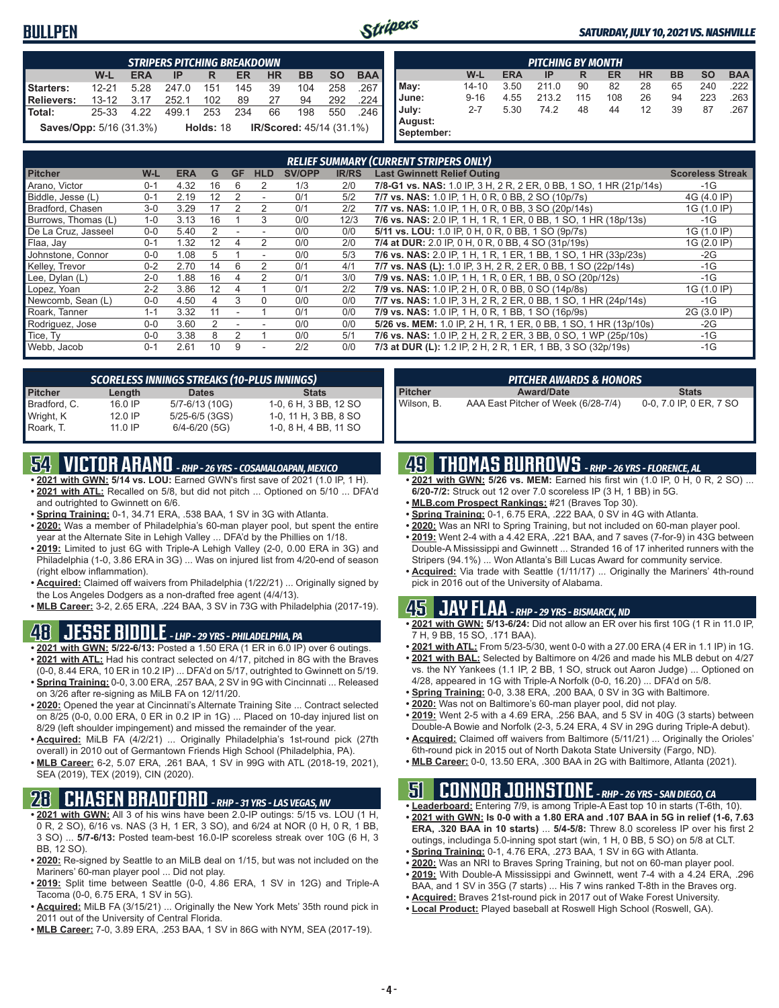#### **BULLPEN**



#### *SATURDAY, JULY 10, 2021 VS. NASHVILLE*

|                                | <b>STRIPERS PITCHING BREAKDOWN</b>                                                      |      |       |             |     |    |                                 |     |     |  |  |  |
|--------------------------------|-----------------------------------------------------------------------------------------|------|-------|-------------|-----|----|---------------------------------|-----|-----|--|--|--|
|                                | W-L<br><b>SO</b><br><b>BAA</b><br><b>ERA</b><br><b>HR</b><br><b>BB</b><br>ΙP<br>ER<br>R |      |       |             |     |    |                                 |     |     |  |  |  |
| Starters:                      | $12 - 21$                                                                               | 5 28 | 247.0 | 151         | 145 | 39 | 104                             | 258 | 267 |  |  |  |
| <b>Relievers:</b>              | $13 - 12$                                                                               | 3.17 | 252.1 | 102         | 89  | 27 | 94                              | 292 | 224 |  |  |  |
| Total:                         | 25-33                                                                                   | 4.22 | 4991  | 253         | 234 | 66 | 198                             | 550 | 246 |  |  |  |
| <b>Saves/Opp:</b> 5/16 (31.3%) |                                                                                         |      |       | Holds: $18$ |     |    | <b>IR/Scored: 45/14 (31.1%)</b> |     |     |  |  |  |

|                       | <b>PITCHING BY MONTH</b> |            |       |     |     |           |           |           |            |  |  |  |
|-----------------------|--------------------------|------------|-------|-----|-----|-----------|-----------|-----------|------------|--|--|--|
|                       | W-L                      | <b>ERA</b> | IP    | R   | ER  | <b>HR</b> | <b>BB</b> | <b>SO</b> | <b>BAA</b> |  |  |  |
| May:                  | $14 - 10$                | 3.50       | 211.0 | 90  | 82  | 28        | 65        | 240       | .222       |  |  |  |
| June:                 | $9 - 16$                 | 4.55       | 213.2 | 115 | 108 | 26        | 94        | 223       | .263       |  |  |  |
| July:                 | $2 - 7$                  | 5.30       | 74.2  | 48  | 44  | 12        | 39        | 87        | .267       |  |  |  |
| August:<br>September: |                          |            |       |     |     |           |           |           |            |  |  |  |

|                     |         |            |    |           |                          |               |              | <b>RELIEF SUMMARY (CURRENT STRIPERS ONLY)</b>                      |                         |
|---------------------|---------|------------|----|-----------|--------------------------|---------------|--------------|--------------------------------------------------------------------|-------------------------|
| <b>Pitcher</b>      | W-L     | <b>ERA</b> | G  | <b>GF</b> | <b>HLD</b>               | <b>SV/OPP</b> | <b>IR/RS</b> | <b>Last Gwinnett Relief Outing</b>                                 | <b>Scoreless Streak</b> |
| Arano, Victor       | $0 - 1$ | 4.32       | 16 | h         |                          | 1/3           | 2/0          | 7/8-G1 vs. NAS: 1.0 IP, 3 H, 2 R, 2 ER, 0 BB, 1 SO, 1 HR (21p/14s) | $-1G$                   |
| Biddle, Jesse (L)   | $0 - 1$ | 2.19       | 12 |           | $\overline{\phantom{a}}$ | 0/1           | 5/2          | 7/7 vs. NAS: 1.0 IP, 1 H, 0 R, 0 BB, 2 SO (10p/7s)                 | 4G (4.0 IP)             |
| Bradford, Chasen    | $3-0$   | 3.29       | 17 |           | 2                        | 0/1           | 2/2          | 7/7 vs. NAS: 1.0 IP, 1 H, 0 R, 0 BB, 3 SO (20p/14s)                | 1G (1.0 IP)             |
| Burrows, Thomas (L) | $1 - 0$ | 3.13       | 16 |           | 3                        | 0/0           | 12/3         | 7/6 vs. NAS: 2.0 IP, 1 H, 1 R, 1 ER, 0 BB, 1 SO, 1 HR (18p/13s)    | $-1G$                   |
| De La Cruz, Jasseel | $0 - 0$ | 5.40       | 2  |           |                          | 0/0           | 0/0          | 5/11 vs. LOU: 1.0 IP, 0 H, 0 R, 0 BB, 1 SO (9p/7s)                 | 1G (1.0 IP)             |
| Flaa, Jay           | $0 - 1$ | 1.32       | 12 |           | 2                        | 0/0           | 2/0          | 7/4 at DUR: 2.0 IP, 0 H, 0 R, 0 BB, 4 SO (31p/19s)                 | 1G (2.0 IP)             |
| Johnstone, Connor   | $0-0$   | 1.08       | 5  |           | $\overline{\phantom{a}}$ | 0/0           | 5/3          | 7/6 vs. NAS: 2.0 IP, 1 H, 1 R, 1 ER, 1 BB, 1 SO, 1 HR (33p/23s)    | $-2G$                   |
| Kelley, Trevor      | $0 - 2$ | 2.70       | 14 | 6         |                          | 0/1           | 4/1          | 7/7 vs. NAS (L): 1.0 IP, 3 H, 2 R, 2 ER, 0 BB, 1 SO (22p/14s)      | $-1G$                   |
| Lee, Dylan (L)      | $2 - 0$ | 1.88       | 16 | 4         |                          | 0/1           | 3/0          | 7/9 vs. NAS: 1.0 IP, 1 H, 1 R, 0 ER, 1 BB, 0 SO (20p/12s)          | $-1G$                   |
| Lopez, Yoan         | $2 - 2$ | 3.86       | 12 |           |                          | 0/1           | 2/2          | 7/9 vs. NAS: 1.0 IP, 2 H, 0 R, 0 BB, 0 SO (14p/8s)                 | 1G (1.0 IP)             |
| Newcomb, Sean (L)   | $0 - 0$ | 4.50       | 4  | 3         | 0                        | 0/0           | 0/0          | 7/7 vs. NAS: 1.0 IP, 3 H, 2 R, 2 ER, 0 BB, 1 SO, 1 HR (24p/14s)    | $-1G$                   |
| Roark, Tanner       | $1 - 1$ | 3.32       | 11 |           |                          | 0/1           | 0/0          | 7/9 vs. NAS: 1.0 IP, 1 H, 0 R, 1 BB, 1 SO (16p/9s)                 | 2G (3.0 IP)             |
| Rodriguez, Jose     | $0 - 0$ | 3.60       |    |           |                          | 0/0           | 0/0          | 5/26 vs. MEM: 1.0 IP, 2 H, 1 R, 1 ER, 0 BB, 1 SO, 1 HR (13p/10s)   | $-2G$                   |
| Tice, Ty            | $0 - 0$ | 3.38       | 8  |           |                          | 0/0           | 5/1          | 7/6 vs. NAS: 1.0 IP, 2 H, 2 R, 2 ER, 3 BB, 0 SO, 1 WP (25p/10s)    | $-1G$                   |
| Webb, Jacob         | $0 - 1$ | 2.61       | 10 | 9         |                          | 2/2           | 0/0          | 7/3 at DUR (L): 1.2 IP, 2 H, 2 R, 1 ER, 1 BB, 3 SO (32p/19s)       | $-1G$                   |

|                |           | <b>SCORELESS INNINGS STREAKS (10-PLUS INNINGS)</b> |                       |
|----------------|-----------|----------------------------------------------------|-----------------------|
| <b>Pitcher</b> | Length    | <b>Dates</b>                                       | <b>Stats</b>          |
| Bradford, C.   | 16.0 IP   | 5/7-6/13 (10G)                                     | 1-0, 6 H, 3 BB, 12 SO |
| Wright, K      | $12.0$ IP | $5/25 - 6/5$ (3GS)                                 | 1-0, 11 H, 3 BB, 8 SO |
| Roark, T.      | 11.0 IP   | $6/4 - 6/20$ (5G)                                  | 1-0, 8 H, 4 BB, 11 SO |

### **54 VICTOR ARANO** *- RHP - 26 YRS - COSAMALOAPAN, MEXICO*

- **• 2021 with GWN: 5/14 vs. LOU:** Earned GWN's first save of 2021 (1.0 IP, 1 H). **• 2021 with ATL:** Recalled on 5/8, but did not pitch ... Optioned on 5/10 ... DFA'd and outrighted to Gwinnett on 6/6.
- **• Spring Training:** 0-1, 34.71 ERA, .538 BAA, 1 SV in 3G with Atlanta.
- **• 2020:** Was a member of Philadelphia's 60-man player pool, but spent the entire year at the Alternate Site in Lehigh Valley ... DFA'd by the Phillies on 1/18.
- **• 2019:** Limited to just 6G with Triple-A Lehigh Valley (2-0, 0.00 ERA in 3G) and Philadelphia (1-0, 3.86 ERA in 3G) ... Was on injured list from 4/20-end of season (right elbow inflammation).
- **• Acquired:** Claimed off waivers from Philadelphia (1/22/21) ... Originally signed by the Los Angeles Dodgers as a non-drafted free agent (4/4/13).
- **• MLB Career:** 3-2, 2.65 ERA, .224 BAA, 3 SV in 73G with Philadelphia (2017-19).

#### **48 JESSE BIDDLE** *- LHP - 29 YRS - PHILADELPHIA, PA*

- **• 2021 with GWN: 5/22-6/13:** Posted a 1.50 ERA (1 ER in 6.0 IP) over 6 outings. **• 2021 with ATL:** Had his contract selected on 4/17, pitched in 8G with the Braves (0-0, 8.44 ERA, 10 ER in 10.2 IP) ... DFA'd on 5/17, outrighted to Gwinnett on 5/19.
- **• Spring Training:** 0-0, 3.00 ERA, .257 BAA, 2 SV in 9G with Cincinnati ... Released on 3/26 after re-signing as MiLB FA on 12/11/20.
- **• 2020:** Opened the year at Cincinnati's Alternate Training Site ... Contract selected on 8/25 (0-0, 0.00 ERA, 0 ER in 0.2 IP in 1G) ... Placed on 10-day injured list on 8/29 (left shoulder impingement) and missed the remainder of the year.
- **• Acquired:** MiLB FA (4/2/21) ... Originally Philadelphia's 1st-round pick (27th overall) in 2010 out of Germantown Friends High School (Philadelphia, PA).
- **• MLB Career:** 6-2, 5.07 ERA, .261 BAA, 1 SV in 99G with ATL (2018-19, 2021), SEA (2019), TEX (2019), CIN (2020).

### **28 CHASEN BRADFORD** *- RHP - 31 YRS - LAS VEGAS, NV*

- **• 2021 with GWN:** All 3 of his wins have been 2.0-IP outings: 5/15 vs. LOU (1 H, 0 R, 2 SO), 6/16 vs. NAS (3 H, 1 ER, 3 SO), and 6/24 at NOR (0 H, 0 R, 1 BB, 3 SO) ... **5/7-6/13:** Posted team-best 16.0-IP scoreless streak over 10G (6 H, 3 BB, 12 SO).
- **• 2020:** Re-signed by Seattle to an MiLB deal on 1/15, but was not included on the Mariners' 60-man player pool ... Did not play.
- **• 2019:** Split time between Seattle (0-0, 4.86 ERA, 1 SV in 12G) and Triple-A Tacoma (0-0, 6.75 ERA, 1 SV in 5G).
- **• Acquired:** MiLB FA (3/15/21) ... Originally the New York Mets' 35th round pick in 2011 out of the University of Central Florida.
- **• MLB Career:** 7-0, 3.89 ERA, .253 BAA, 1 SV in 86G with NYM, SEA (2017-19).

|                | <b>PITCHER AWARDS &amp; HONORS</b>  |                         |
|----------------|-------------------------------------|-------------------------|
| <b>Pitcher</b> | <b>Award/Date</b>                   | <b>Stats</b>            |
| Wilson. B.     | AAA East Pitcher of Week (6/28-7/4) | 0-0, 7.0 IP, 0 ER, 7 SO |

### **49 THOMAS BURROWS** *- RHP - 26 YRS - FLORENCE, AL*

- **• 2021 with GWN: 5/26 vs. MEM:** Earned his first win (1.0 IP, 0 H, 0 R, 2 SO) ... **6/20-7/2:** Struck out 12 over 7.0 scoreless IP (3 H, 1 BB) in 5G.
- **• MLB.com Prospect Rankings:** #21 (Braves Top 30).
- **• Spring Training:** 0-1, 6.75 ERA, .222 BAA, 0 SV in 4G with Atlanta.
- **• 2020:** Was an NRI to Spring Training, but not included on 60-man player pool.
- **• 2019:** Went 2-4 with a 4.42 ERA, .221 BAA, and 7 saves (7-for-9) in 43G between Double-A Mississippi and Gwinnett ... Stranded 16 of 17 inherited runners with the Stripers (94.1%) ... Won Atlanta's Bill Lucas Award for community service.
- **• Acquired:** Via trade with Seattle (1/11/17) ... Originally the Mariners' 4th-round pick in 2016 out of the University of Alabama.

#### **45 JAY FLAA** *- RHP - 29 YRS - BISMARCK, ND*

- **• 2021 with GWN: 5/13-6/24:** Did not allow an ER over his first 10G (1 R in 11.0 IP, 7 H, 9 BB, 15 SO, .171 BAA).
- **• 2021 with ATL:** From 5/23-5/30, went 0-0 with a 27.00 ERA (4 ER in 1.1 IP) in 1G.
- **• 2021 with BAL:** Selected by Baltimore on 4/26 and made his MLB debut on 4/27 vs. the NY Yankees (1.1 IP, 2 BB, 1 SO, struck out Aaron Judge) ... Optioned on 4/28, appeared in 1G with Triple-A Norfolk (0-0, 16.20) ... DFA'd on 5/8.
- **• Spring Training:** 0-0, 3.38 ERA, .200 BAA, 0 SV in 3G with Baltimore.
- **• 2020:** Was not on Baltimore's 60-man player pool, did not play.
- **• 2019:** Went 2-5 with a 4.69 ERA, .256 BAA, and 5 SV in 40G (3 starts) between Double-A Bowie and Norfolk (2-3, 5.24 ERA, 4 SV in 29G during Triple-A debut).
- **• Acquired:** Claimed off waivers from Baltimore (5/11/21) ... Originally the Orioles' 6th-round pick in 2015 out of North Dakota State University (Fargo, ND).
- **• MLB Career:** 0-0, 13.50 ERA, .300 BAA in 2G with Baltimore, Atlanta (2021).

# **51 CONNOR JOHNSTONE** *- RHP - 26 YRS - SAN DIEGO, CA*

- **• Leaderboard:** Entering 7/9, is among Triple-A East top 10 in starts (T-6th, 10). **• 2021 with GWN: Is 0-0 with a 1.80 ERA and .107 BAA in 5G in relief (1-6, 7.63 ERA, .320 BAA in 10 starts)** ... **5/4-5/8:** Threw 8.0 scoreless IP over his first 2 outings, includinga 5.0-inning spot start (win, 1 H, 0 BB, 5 SO) on 5/8 at CLT.
- **• Spring Training:** 0-1, 4.76 ERA, .273 BAA, 1 SV in 6G with Atlanta.
- **• 2020:** Was an NRI to Braves Spring Training, but not on 60-man player pool.
- **• 2019:** With Double-A Mississippi and Gwinnett, went 7-4 with a 4.24 ERA, .296
- BAA, and 1 SV in 35G (7 starts) ... His 7 wins ranked T-8th in the Braves org.
- **• Acquired:** Braves 21st-round pick in 2017 out of Wake Forest University.
- **• Local Product:** Played baseball at Roswell High School (Roswell, GA).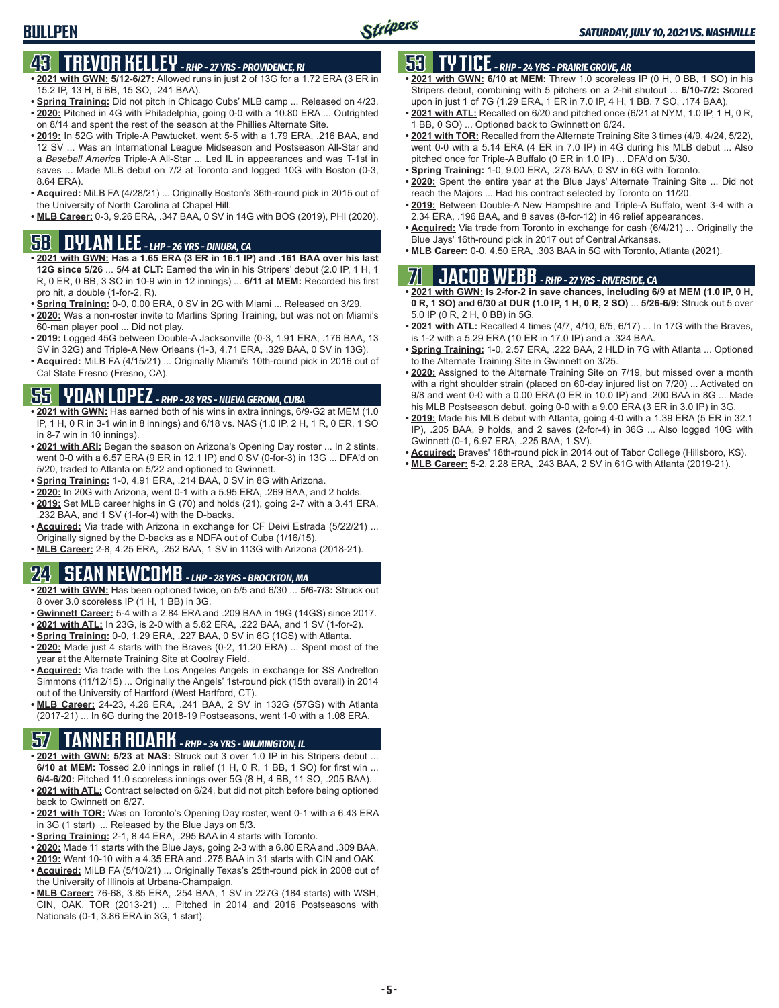# **43 TREVOR KELLEY** *- RHP - 27 YRS - PROVIDENCE, RI*

- **• 2021 with GWN: 5/12-6/27:** Allowed runs in just 2 of 13G for a 1.72 ERA (3 ER in 15.2 IP, 13 H, 6 BB, 15 SO, .241 BAA).
- **• Spring Training:** Did not pitch in Chicago Cubs' MLB camp ... Released on 4/23. **• 2020:** Pitched in 4G with Philadelphia, going 0-0 with a 10.80 ERA ... Outrighted
- on 8/14 and spent the rest of the season at the Phillies Alternate Site. **• 2019:** In 52G with Triple-A Pawtucket, went 5-5 with a 1.79 ERA, .216 BAA, and
- 12 SV ... Was an International League Midseason and Postseason All-Star and a *Baseball America* Triple-A All-Star ... Led IL in appearances and was T-1st in saves ... Made MLB debut on 7/2 at Toronto and logged 10G with Boston (0-3, 8.64 ERA).
- **• Acquired:** MiLB FA (4/28/21) ... Originally Boston's 36th-round pick in 2015 out of the University of North Carolina at Chapel Hill.
- **• MLB Career:** 0-3, 9.26 ERA, .347 BAA, 0 SV in 14G with BOS (2019), PHI (2020).

#### **58 DYLAN LEE** *- LHP - 26 YRS - DINUBA, CA*

- **• 2021 with GWN: Has a 1.65 ERA (3 ER in 16.1 IP) and .161 BAA over his last 12G since 5/26** ... **5/4 at CLT:** Earned the win in his Stripers' debut (2.0 IP, 1 H, 1 R, 0 ER, 0 BB, 3 SO in 10-9 win in 12 innings) ... **6/11 at MEM:** Recorded his first pro hit, a double (1-for-2, R).
- **• Spring Training:** 0-0, 0.00 ERA, 0 SV in 2G with Miami ... Released on 3/29.
- **• 2020:** Was a non-roster invite to Marlins Spring Training, but was not on Miami's 60-man player pool ... Did not play.
- **• 2019:** Logged 45G between Double-A Jacksonville (0-3, 1.91 ERA, .176 BAA, 13 SV in 32G) and Triple-A New Orleans (1-3, 4.71 ERA, .329 BAA, 0 SV in 13G).
- **• Acquired:** MiLB FA (4/15/21) ... Originally Miami's 10th-round pick in 2016 out of Cal State Fresno (Fresno, CA).

### **55 YOAN LOPEZ** *- RHP - 28 YRS - NUEVA GERONA, CUBA*

- **• 2021 with GWN:** Has earned both of his wins in extra innings, 6/9-G2 at MEM (1.0 IP, 1 H, 0 R in 3-1 win in 8 innings) and 6/18 vs. NAS (1.0 IP, 2 H, 1 R, 0 ER, 1 SO in 8-7 win in 10 innings).
- **• 2021 with ARI:** Began the season on Arizona's Opening Day roster ... In 2 stints, went 0-0 with a 6.57 ERA (9 ER in 12.1 IP) and 0 SV (0-for-3) in 13G ... DFA'd on 5/20, traded to Atlanta on 5/22 and optioned to Gwinnett.
- **• Spring Training:** 1-0, 4.91 ERA, .214 BAA, 0 SV in 8G with Arizona.
- **• 2020:** In 20G with Arizona, went 0-1 with a 5.95 ERA, .269 BAA, and 2 holds.
- **• 2019:** Set MLB career highs in G (70) and holds (21), going 2-7 with a 3.41 ERA, .232 BAA, and 1 SV (1-for-4) with the D-backs.
- **• Acquired:** Via trade with Arizona in exchange for CF Deivi Estrada (5/22/21) ... Originally signed by the D-backs as a NDFA out of Cuba (1/16/15).
- **• MLB Career:** 2-8, 4.25 ERA, .252 BAA, 1 SV in 113G with Arizona (2018-21).

# **24 SEAN NEWCOMB** *- LHP - 28 YRS - BROCKTON, MA*

- **• 2021 with GWN:** Has been optioned twice, on 5/5 and 6/30 ... **5/6-7/3:** Struck out 8 over 3.0 scoreless IP (1 H, 1 BB) in 3G.
- **• Gwinnett Career:** 5-4 with a 2.84 ERA and .209 BAA in 19G (14GS) since 2017.
- **• 2021 with ATL:** In 23G, is 2-0 with a 5.82 ERA, .222 BAA, and 1 SV (1-for-2).
- **• Spring Training:** 0-0, 1.29 ERA, .227 BAA, 0 SV in 6G (1GS) with Atlanta.
- **• 2020:** Made just 4 starts with the Braves (0-2, 11.20 ERA) ... Spent most of the year at the Alternate Training Site at Coolray Field.
- **• Acquired:** Via trade with the Los Angeles Angels in exchange for SS Andrelton Simmons (11/12/15) ... Originally the Angels' 1st-round pick (15th overall) in 2014 out of the University of Hartford (West Hartford, CT).
- **• MLB Career:** 24-23, 4.26 ERA, .241 BAA, 2 SV in 132G (57GS) with Atlanta (2017-21) ... In 6G during the 2018-19 Postseasons, went 1-0 with a 1.08 ERA.

# **57 TANNER ROARK** *- RHP - 34 YRS - WILMINGTON, IL*

- **• 2021 with GWN: 5/23 at NAS:** Struck out 3 over 1.0 IP in his Stripers debut ... **6/10 at MEM:** Tossed 2.0 innings in relief (1 H, 0 R, 1 BB, 1 SO) for first win ... **6/4-6/20:** Pitched 11.0 scoreless innings over 5G (8 H, 4 BB, 11 SO, .205 BAA).
- **• 2021 with ATL:** Contract selected on 6/24, but did not pitch before being optioned back to Gwinnett on 6/27.
- **• 2021 with TOR:** Was on Toronto's Opening Day roster, went 0-1 with a 6.43 ERA in 3G (1 start) ... Released by the Blue Jays on 5/3.
- **• Spring Training:** 2-1, 8.44 ERA, .295 BAA in 4 starts with Toronto.
- **• 2020:** Made 11 starts with the Blue Jays, going 2-3 with a 6.80 ERA and .309 BAA.
- **• 2019:** Went 10-10 with a 4.35 ERA and .275 BAA in 31 starts with CIN and OAK. **• Acquired:** MiLB FA (5/10/21) ... Originally Texas's 25th-round pick in 2008 out of the University of Illinois at Urbana-Champaign.
- **• MLB Career:** 76-68, 3.85 ERA, .254 BAA, 1 SV in 227G (184 starts) with WSH, CIN, OAK, TOR (2013-21) ... Pitched in 2014 and 2016 Postseasons with Nationals (0-1, 3.86 ERA in 3G, 1 start).

## **53 TY TICE** *- RHP - 24 YRS - PRAIRIE GROVE, AR*

- **• 2021 with GWN: 6/10 at MEM:** Threw 1.0 scoreless IP (0 H, 0 BB, 1 SO) in his Stripers debut, combining with 5 pitchers on a 2-hit shutout ... **6/10-7/2:** Scored upon in just 1 of 7G (1.29 ERA, 1 ER in 7.0 IP, 4 H, 1 BB, 7 SO, .174 BAA).
- **• 2021 with ATL:** Recalled on 6/20 and pitched once (6/21 at NYM, 1.0 IP, 1 H, 0 R, 1 BB, 0 SO) ... Optioned back to Gwinnett on 6/24.
- **• 2021 with TOR:** Recalled from the Alternate Training Site 3 times (4/9, 4/24, 5/22), went 0-0 with a 5.14 ERA (4 ER in 7.0 IP) in 4G during his MLB debut ... Also pitched once for Triple-A Buffalo (0 ER in 1.0 IP) ... DFA'd on 5/30.
- **• Spring Training:** 1-0, 9.00 ERA, .273 BAA, 0 SV in 6G with Toronto.
- **• 2020:** Spent the entire year at the Blue Jays' Alternate Training Site ... Did not reach the Majors ... Had his contract selected by Toronto on 11/20.
- **• 2019:** Between Double-A New Hampshire and Triple-A Buffalo, went 3-4 with a 2.34 ERA, .196 BAA, and 8 saves (8-for-12) in 46 relief appearances.
- **• Acquired:** Via trade from Toronto in exchange for cash (6/4/21) ... Originally the Blue Jays' 16th-round pick in 2017 out of Central Arkansas.
- **• MLB Career:** 0-0, 4.50 ERA, .303 BAA in 5G with Toronto, Atlanta (2021).

# **71 JACOB WEBB** *- RHP - 27 YRS - RIVERSIDE, CA*

**• 2021 with GWN: Is 2-for-2 in save chances, including 6/9 at MEM (1.0 IP, 0 H, 0 R, 1 SO) and 6/30 at DUR (1.0 IP, 1 H, 0 R, 2 SO)** ... **5/26-6/9:** Struck out 5 over 5.0 IP (0 R, 2 H, 0 BB) in 5G.

- **• 2021 with ATL:** Recalled 4 times (4/7, 4/10, 6/5, 6/17) ... In 17G with the Braves, is 1-2 with a 5.29 ERA (10 ER in 17.0 IP) and a .324 BAA.
- **• Spring Training:** 1-0, 2.57 ERA, .222 BAA, 2 HLD in 7G with Atlanta ... Optioned to the Alternate Training Site in Gwinnett on 3/25.
- **• 2020:** Assigned to the Alternate Training Site on 7/19, but missed over a month with a right shoulder strain (placed on 60-day injured list on 7/20) ... Activated on 9/8 and went 0-0 with a 0.00 ERA (0 ER in 10.0 IP) and .200 BAA in 8G ... Made his MLB Postseason debut, going 0-0 with a 9.00 ERA (3 ER in 3.0 IP) in 3G.
- **• 2019:** Made his MLB debut with Atlanta, going 4-0 with a 1.39 ERA (5 ER in 32.1 IP), .205 BAA, 9 holds, and 2 saves (2-for-4) in 36G ... Also logged 10G with Gwinnett (0-1, 6.97 ERA, .225 BAA, 1 SV).
- **• Acquired:** Braves' 18th-round pick in 2014 out of Tabor College (Hillsboro, KS).
- **• MLB Career:** 5-2, 2.28 ERA, .243 BAA, 2 SV in 61G with Atlanta (2019-21).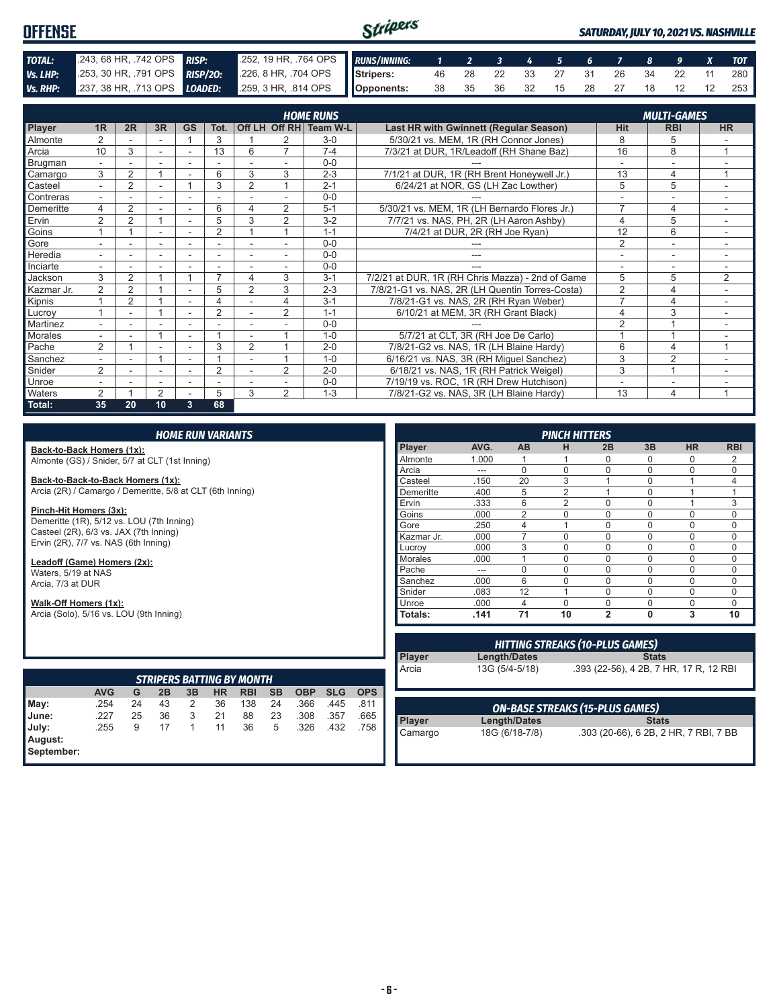#### Stripers **OFFENSE** *SATURDAY, JULY 10, 2021 VS. NASHVILLE TOTAL:* .243, 68 HR, .742 OPS *RISP:* .252, 19 HR, .764 OPS *RUNS/INNING: 1 2 3 4 5 6 7 8 9 X TOT Vs. LHP:* .253, 30 HR, .791 OPS *RISP/2O:* .226, 8 HR, .704 OPS **Stripers:** 46 28 22 33 27 31 26 34 22 11 280 *Vs. RHP:* .237, 38 HR, .713 OPS *LOADED:* .259, 3 HR, .814 OPS **Opponents:** 38 35 36 32 15 28 27 18 12 12 253

|               |                          |                |                |                          |                |                |                          | <b>HOME RUNS</b>       |                                                  | <b>MULTI-GAMES</b>       |                          |                          |
|---------------|--------------------------|----------------|----------------|--------------------------|----------------|----------------|--------------------------|------------------------|--------------------------------------------------|--------------------------|--------------------------|--------------------------|
| <b>Player</b> | 1R                       | 2R             | 3R             | <b>GS</b>                | Tot.           |                |                          | Off LH Off RH Team W-L | Last HR with Gwinnett (Regular Season)           | <b>Hit</b>               | <b>RBI</b>               | <b>HR</b>                |
| Almonte       | 2                        |                |                |                          | 3              |                | 2                        | $3-0$                  | 5/30/21 vs. MEM, 1R (RH Connor Jones)            | 8                        | 5                        |                          |
| Arcia         | 10                       | 3              |                |                          | 13             | 6              | $\overline{7}$           | $7-4$                  | 7/3/21 at DUR, 1R/Leadoff (RH Shane Baz)         | 16                       | 8                        |                          |
| Brugman       | $\overline{\phantom{0}}$ |                | ۰              | ۰                        | ٠              |                |                          | $0 - 0$                |                                                  |                          | $\overline{\phantom{a}}$ |                          |
| Camargo       | 3                        | 2              |                |                          | 6              | 3              | 3                        | $2 - 3$                | 7/1/21 at DUR, 1R (RH Brent Honeywell Jr.)       | 13                       | 4                        | $\overline{A}$           |
| Casteel       | ۰.                       | 2              |                |                          | 3              | $\overline{2}$ |                          | $2 - 1$                | 6/24/21 at NOR, GS (LH Zac Lowther)              | 5                        | 5                        | -                        |
| Contreras     |                          |                |                |                          |                |                |                          | $0 - 0$                |                                                  |                          |                          |                          |
| Demeritte     | 4                        | 2              |                | $\overline{\phantom{a}}$ | 6              | 4              | $\overline{2}$           | $5 - 1$                | 5/30/21 vs. MEM, 1R (LH Bernardo Flores Jr.)     | $\overline{7}$           | 4                        | ۰                        |
| Ervin         | $\overline{2}$           | $\overline{2}$ |                | $\overline{\phantom{a}}$ | 5              | 3              | $\overline{2}$           | $3 - 2$                | 7/7/21 vs. NAS, PH, 2R (LH Aaron Ashby)          | 4                        | 5                        |                          |
| Goins         |                          |                |                |                          | $\overline{2}$ |                |                          | $1 - 1$                | 7/4/21 at DUR, 2R (RH Joe Ryan)                  | 12                       | 6                        |                          |
| Gore          |                          |                | ۰              | $\overline{\phantom{a}}$ | ٠              |                |                          | $0 - 0$                |                                                  | $\overline{2}$           | $\sim$                   | $\overline{\phantom{a}}$ |
| Heredia       | $\overline{a}$           |                |                |                          |                |                |                          | $0 - 0$                |                                                  |                          |                          |                          |
| Inciarte      | $\overline{\phantom{0}}$ |                | ۰              | $\overline{\phantom{a}}$ | ۰              |                | $\overline{\phantom{a}}$ | $0 - 0$                |                                                  | $\overline{\phantom{0}}$ | $\overline{\phantom{a}}$ | $\sim$                   |
| Jackson       | 3                        | 2              |                |                          |                | 4              | 3                        | $3 - 1$                | 7/2/21 at DUR, 1R (RH Chris Mazza) - 2nd of Game | 5                        | 5                        | $\overline{2}$           |
| Kazmar Jr.    | 2                        | 2              |                | $\overline{\phantom{a}}$ | 5              | $\overline{2}$ | 3                        | $2 - 3$                | 7/8/21-G1 vs. NAS, 2R (LH Quentin Torres-Costa)  | $\overline{2}$           | 4                        |                          |
| Kipnis        |                          | 2              |                | $\overline{\phantom{a}}$ | 4              |                | 4                        | $3 - 1$                | 7/8/21-G1 vs. NAS, 2R (RH Ryan Weber)            | 7                        | 4                        |                          |
| Lucroy        |                          | ۰              |                | $\overline{\phantom{a}}$ | 2              |                | 2                        | $1 - 1$                | 6/10/21 at MEM, 3R (RH Grant Black)              | 4                        | 3                        | ۰                        |
| Martinez      |                          |                |                |                          |                |                |                          | $0 - 0$                |                                                  | $\overline{2}$           |                          |                          |
| Morales       |                          |                |                |                          |                |                |                          | $1 - 0$                | 5/7/21 at CLT, 3R (RH Joe De Carlo)              |                          |                          |                          |
| Pache         | $\overline{2}$           |                |                |                          | 3              | $\overline{2}$ |                          | $2 - 0$                | 7/8/21-G2 vs. NAS, 1R (LH Blaine Hardy)          | 6                        | 4                        | 1                        |
| Sanchez       |                          |                |                |                          |                |                |                          | $1 - 0$                | 6/16/21 vs. NAS, 3R (RH Miquel Sanchez)          | 3                        | $\overline{2}$           |                          |
| Snider        | 2                        |                |                | $\overline{\phantom{a}}$ | $\overline{2}$ |                | $\overline{2}$           | $2 - 0$                | 6/18/21 vs. NAS, 1R (RH Patrick Weigel)          | 3                        |                          |                          |
| Unroe         |                          |                |                |                          |                |                |                          | $0-0$                  | 7/19/19 vs. ROC, 1R (RH Drew Hutchison)          |                          |                          |                          |
| Waters        | $\mathcal{P}$            |                | $\overline{2}$ |                          | 5              | 3              | $\mathfrak{D}$           | $1 - 3$                | 7/8/21-G2 vs. NAS, 3R (LH Blaine Hardy)          | 13                       | 4                        |                          |
| Total:        | 35                       | 20             | 10             | 3                        | 68             |                |                          |                        |                                                  |                          |                          |                          |

**Back-to-Back Homers (1x):** Almonte (GS) / Snider, 5/7 at CLT (1st Inning)

**Back-to-Back-to-Back Homers (1x):**

Arcia (2R) / Camargo / Demeritte, 5/8 at CLT (6th Inning)

**Pinch-Hit Homers (3x):** Demeritte (1R), 5/12 vs. LOU (7th Inning) Casteel (2R), 6/3 vs. JAX (7th Inning) Ervin (2R), 7/7 vs. NAS (6th Inning)

**Leadoff (Game) Homers (2x):** Waters, 5/19 at NAS Arcia, 7/3 at DUR

#### **Walk-Off Homers (1x):**

Arcia (Solo), 5/16 vs. LOU (9th Inning)

| <b>STRIPERS BATTING BY MONTH</b> |            |    |    |    |    |            |           |            |            |            |
|----------------------------------|------------|----|----|----|----|------------|-----------|------------|------------|------------|
|                                  | <b>AVG</b> | G  | 2B | 3B | HR | <b>RBI</b> | <b>SB</b> | <b>OBP</b> | <b>SLG</b> | <b>OPS</b> |
| May:                             | .254       | 24 | 43 | 2  | 36 | 138        | 24        | .366       | .445       | .811       |
| June:                            | .227       | 25 | 36 | 3  | 21 | 88         | 23        | .308       | .357       | .665       |
| July:                            | .255       | 9  | 17 |    | 11 | 36         | 5         | .326       | .432       | .758       |
| August:<br>September:            |            |    |    |    |    |            |           |            |            |            |

| <b>PINCH HITTERS</b> |       |                |                |                |          |             |                |  |
|----------------------|-------|----------------|----------------|----------------|----------|-------------|----------------|--|
| <b>Player</b>        | AVG.  | AB             | н              | 2B             | 3B       | <b>HR</b>   | <b>RBI</b>     |  |
| Almonte              | 1.000 |                |                | 0              | 0        | 0           | 2              |  |
| Arcia                | ---   | O              | $\Omega$       | $\Omega$       | 0        | $\Omega$    | $\Omega$       |  |
| Casteel              | .150  | 20             | 3              | 1              | 0        | 1           | $\overline{4}$ |  |
| Demeritte            | .400  | 5              | $\overline{2}$ | 1              | 0        | 1           |                |  |
| Ervin                | .333  | 6              | $\overline{2}$ | 0              | 0        | 1           | 3              |  |
| Goins                | .000  | $\mathfrak{p}$ | $\Omega$       | $\Omega$       | ი        | $\Omega$    | $\Omega$       |  |
| Gore                 | .250  | 4              | 1              | $\mathbf 0$    | 0        | 0           | 0              |  |
| Kazmar Jr.           | .000  | 7              | $\Omega$       | $\mathbf 0$    | 0        | 0           | $\Omega$       |  |
| Lucrov               | .000  | 3              | $\mathbf 0$    | $\mathbf 0$    | 0        | $\mathbf 0$ | $\mathbf 0$    |  |
| <b>Morales</b>       | .000  |                | $\Omega$       | $\mathbf 0$    | $\Omega$ | $\mathbf 0$ | $\Omega$       |  |
| Pache                | ---   | $\Omega$       | $\Omega$       | $\mathbf 0$    | 0        | $\Omega$    | $\Omega$       |  |
| Sanchez              | .000  | 6              | $\Omega$       | $\mathbf 0$    | 0        | 0           | $\Omega$       |  |
| Snider               | .083  | 12             | 1              | $\mathbf 0$    | 0        | $\Omega$    | $\mathbf 0$    |  |
| Unroe                | .000  | 4              | $\Omega$       | $\Omega$       | 0        | $\Omega$    | $\Omega$       |  |
| Totals:              | .141  | 71             | 10             | $\overline{2}$ | $\bf{0}$ | 3           | 10             |  |

| <b>HITTING STREAKS (10-PLUS GAMES)</b> |                |                                        |  |  |  |  |
|----------------------------------------|----------------|----------------------------------------|--|--|--|--|
|                                        | Length/Dates   | <b>Stats</b>                           |  |  |  |  |
| Player<br>Arcia                        | 13G (5/4-5/18) | .393 (22-56), 4 2B, 7 HR, 17 R, 12 RBI |  |  |  |  |

| ON-BASE STREAKS (15-PLUS GAMES) |                |                                       |  |  |  |
|---------------------------------|----------------|---------------------------------------|--|--|--|
| Player                          | Length/Dates   | <b>Stats</b>                          |  |  |  |
| Camargo                         | 18G (6/18-7/8) | .303 (20-66), 6 2B, 2 HR, 7 RBI, 7 BB |  |  |  |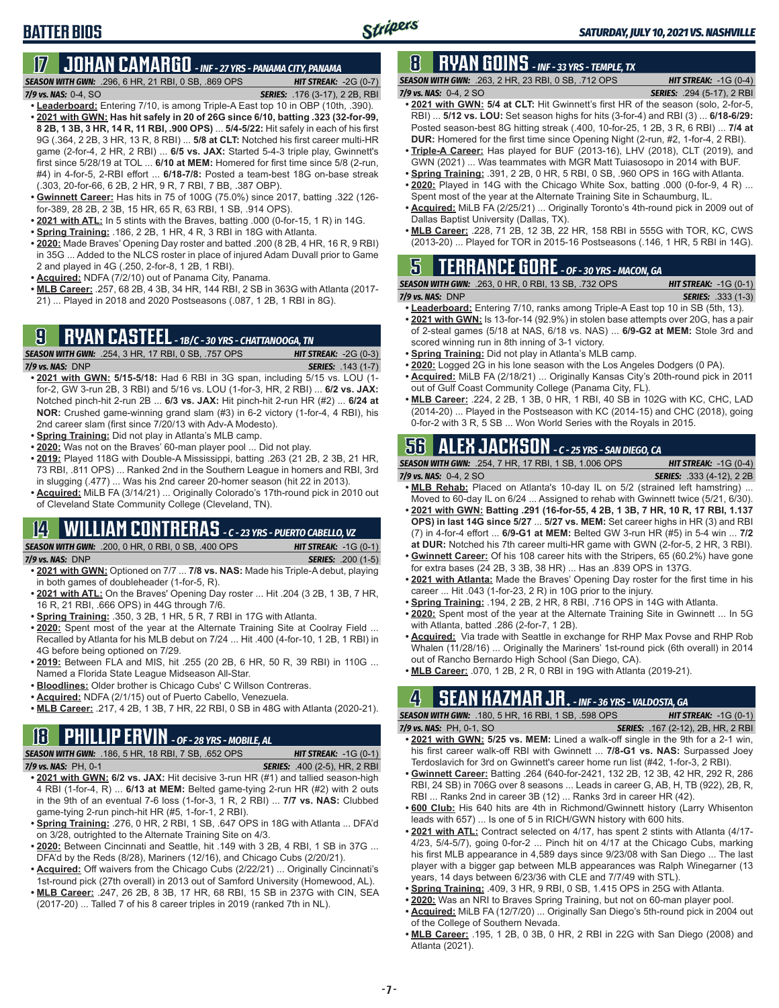# **BATTER BIOS**

# **17 JOHAN CAMARGO** *- INF - 27 YRS - PANAMA CITY, PANAMA*

*SEASON WITH GWN:*.296, 6 HR, 21 RBI, 0 SB, .869 OPS *HIT STREAK:* -2G (0-7) *7/9 vs. NAS:* 0-4, SO *SERIES:* .176 (3-17), 2 2B, RBI

- **• Leaderboard:** Entering 7/10, is among Triple-A East top 10 in OBP (10th, .390). **• 2021 with GWN: Has hit safely in 20 of 26G since 6/10, batting .323 (32-for-99, 8 2B, 1 3B, 3 HR, 14 R, 11 RBI, .900 OPS)** ... **5/4-5/22:** Hit safely in each of his first 9G (.364, 2 2B, 3 HR, 13 R, 8 RBI) ... **5/8 at CLT:** Notched his first career multi-HR game (2-for-4, 2 HR, 2 RBI) ... **6/5 vs. JAX:** Started 5-4-3 triple play, Gwinnett's first since 5/28/19 at TOL ... **6/10 at MEM:** Homered for first time since 5/8 (2-run, #4) in 4-for-5, 2-RBI effort ... **6/18-7/8:** Posted a team-best 18G on-base streak (.303, 20-for-66, 6 2B, 2 HR, 9 R, 7 RBI, 7 BB, .387 OBP).
- **• Gwinnett Career:** Has hits in 75 of 100G (75.0%) since 2017, batting .322 (126 for-389, 28 2B, 2 3B, 15 HR, 65 R, 63 RBI, 1 SB, .914 OPS).
- **• 2021 with ATL:** In 5 stints with the Braves, batting .000 (0-for-15, 1 R) in 14G.
- **• Spring Training:** .186, 2 2B, 1 HR, 4 R, 3 RBI in 18G with Atlanta.
- **• 2020:** Made Braves' Opening Day roster and batted .200 (8 2B, 4 HR, 16 R, 9 RBI) in 35G ... Added to the NLCS roster in place of injured Adam Duvall prior to Game 2 and played in 4G (.250, 2-for-8, 1 2B, 1 RBI).
- **• Acquired:** NDFA (7/2/10) out of Panama City, Panama.
- **• MLB Career:** .257, 68 2B, 4 3B, 34 HR, 144 RBI, 2 SB in 363G with Atlanta (2017- 21) ... Played in 2018 and 2020 Postseasons (.087, 1 2B, 1 RBI in 8G).

#### **9 RYAN CASTEEL** *- 1B/C - 30 YRS - CHATTANOOGA, TN* **SEASON WITH GWN:** .254, 3 HR, 17 RBI, 0 SB, .757 OPS

- *7/9 vs. NAS:*DNP *SERIES:* .143 (1-7) **• 2021 with GWN: 5/15-5/18:** Had 6 RBI in 3G span, including 5/15 vs. LOU (1 for-2, GW 3-run 2B, 3 RBI) and 5/16 vs. LOU (1-for-3, HR, 2 RBI) ... **6/2 vs. JAX:** Notched pinch-hit 2-run 2B ... **6/3 vs. JAX:** Hit pinch-hit 2-run HR (#2) ... **6/24 at NOR:** Crushed game-winning grand slam (#3) in 6-2 victory (1-for-4, 4 RBI), his 2nd career slam (first since 7/20/13 with Adv-A Modesto).
- **• Spring Training:** Did not play in Atlanta's MLB camp.
- **• 2020:** Was not on the Braves' 60-man player pool ... Did not play.
- **• 2019:** Played 118G with Double-A Mississippi, batting .263 (21 2B, 2 3B, 21 HR, 73 RBI, .811 OPS) ... Ranked 2nd in the Southern League in homers and RBI, 3rd in slugging (.477) ... Was his 2nd career 20-homer season (hit 22 in 2013).
- **• Acquired:** MiLB FA (3/14/21) ... Originally Colorado's 17th-round pick in 2010 out of Cleveland State Community College (Cleveland, TN).

### **14 WILLIAM CONTRERAS** *- C - 23 YRS - PUERTO CABELLO, VZ*

*SEASON WITH GWN:*.200, 0 HR, 0 RBI, 0 SB, .400 OPS *HIT STREAK:* -1G (0-1) *7/9 vs. NAS:*DNP *SERIES:* .200 (1-5)

- **• 2021 with GWN:** Optioned on 7/7 ... **7/8 vs. NAS:** Made his Triple-A debut, playing in both games of doubleheader (1-for-5, R).
- **• 2021 with ATL:** On the Braves' Opening Day roster ... Hit .204 (3 2B, 1 3B, 7 HR, 16 R, 21 RBI, .666 OPS) in 44G through 7/6.
- **• Spring Training:** .350, 3 2B, 1 HR, 5 R, 7 RBI in 17G with Atlanta.
- **• 2020:** Spent most of the year at the Alternate Training Site at Coolray Field ... Recalled by Atlanta for his MLB debut on 7/24 ... Hit .400 (4-for-10, 1 2B, 1 RBI) in 4G before being optioned on 7/29.
- **• 2019:** Between FLA and MIS, hit .255 (20 2B, 6 HR, 50 R, 39 RBI) in 110G ... Named a Florida State League Midseason All-Star.
- **• Bloodlines:** Older brother is Chicago Cubs' C Willson Contreras.
- **• Acquired:** NDFA (2/1/15) out of Puerto Cabello, Venezuela.
- **• MLB Career:** .217, 4 2B, 1 3B, 7 HR, 22 RBI, 0 SB in 48G with Atlanta (2020-21).

# **18 PHILLIP ERVIN** *- OF - 28 YRS - MOBILE, AL*

*SEASON WITH GWN:*.186, 5 HR, 18 RBI, 7 SB, .652 OPS *HIT STREAK:* -1G (0-1)

- *7/9 vs. NAS:*PH, 0-1 *SERIES:* .400 (2-5), HR, 2 RBI **• 2021 with GWN: 6/2 vs. JAX:** Hit decisive 3-run HR (#1) and tallied season-high 4 RBI (1-for-4, R) ... **6/13 at MEM:** Belted game-tying 2-run HR (#2) with 2 outs in the 9th of an eventual 7-6 loss (1-for-3, 1 R, 2 RBI) ... **7/7 vs. NAS:** Clubbed game-tying 2-run pinch-hit HR (#5, 1-for-1, 2 RBI).
- **• Spring Training:** .276, 0 HR, 2 RBI, 1 SB, .647 OPS in 18G with Atlanta ... DFA'd on 3/28, outrighted to the Alternate Training Site on 4/3.
- **• 2020:** Between Cincinnati and Seattle, hit .149 with 3 2B, 4 RBI, 1 SB in 37G ... DFA'd by the Reds (8/28), Mariners (12/16), and Chicago Cubs (2/20/21).
- **• Acquired:** Off waivers from the Chicago Cubs (2/22/21) ... Originally Cincinnati's 1st-round pick (27th overall) in 2013 out of Samford University (Homewood, AL).
- **• MLB Career:** .247, 26 2B, 8 3B, 17 HR, 68 RBI, 15 SB in 237G with CIN, SEA (2017-20) ... Talled 7 of his 8 career triples in 2019 (ranked 7th in NL).

### **8 RYAN GOINS** *- INF - 33 YRS - TEMPLE, TX*

*SEASON WITH GWN:*.263, 2 HR, 23 RBI, 0 SB, .712 OPS *HIT STREAK:* -1G (0-4) *7/9 vs. NAS:*0-4, 2 SO *SERIES:* .294 (5-17), 2 RBI

- **• 2021 with GWN: 5/4 at CLT:** Hit Gwinnett's first HR of the season (solo, 2-for-5, RBI) ... **5/12 vs. LOU:** Set season highs for hits (3-for-4) and RBI (3) ... **6/18-6/29:** Posted season-best 8G hitting streak (.400, 10-for-25, 1 2B, 3 R, 6 RBI) ... **7/4 at DUR:** Homered for the first time since Opening Night (2-run, #2, 1-for-4, 2 RBI).
- **• Triple-A Career:** Has played for BUF (2013-16), LHV (2018), CLT (2019), and GWN (2021) ... Was teammates with MGR Matt Tuiasosopo in 2014 with BUF.
- **• Spring Training:** .391, 2 2B, 0 HR, 5 RBI, 0 SB, .960 OPS in 16G with Atlanta.
- **• 2020:** Played in 14G with the Chicago White Sox, batting .000 (0-for-9, 4 R) ... Spent most of the year at the Alternate Training Site in Schaumburg, IL.
- **• Acquired:** MiLB FA (2/25/21) ... Originally Toronto's 4th-round pick in 2009 out of Dallas Baptist University (Dallas, TX).
- **• MLB Career:** .228, 71 2B, 12 3B, 22 HR, 158 RBI in 555G with TOR, KC, CWS (2013-20) ... Played for TOR in 2015-16 Postseasons (.146, 1 HR, 5 RBI in 14G).

### **5 TERRANCE GORE** *- OF - 30 YRS - MACON, GA*

*SEASON WITH GWN:*.263, 0 HR, 0 RBI, 13 SB, .732 OPS *HIT STREAK:* -1G (0-1) *7/9 vs. NAS:*DNP *SERIES:* .333 (1-3)

- **• Leaderboard:** Entering 7/10, ranks among Triple-A East top 10 in SB (5th, 13).
- **• 2021 with GWN:** Is 13-for-14 (92.9%) in stolen base attempts over 20G, has a pair of 2-steal games (5/18 at NAS, 6/18 vs. NAS) ... **6/9-G2 at MEM:** Stole 3rd and scored winning run in 8th inning of 3-1 victory.
- **• Spring Training:** Did not play in Atlanta's MLB camp.
- **• 2020:** Logged 2G in his lone season with the Los Angeles Dodgers (0 PA).
- **• Acquired:** MiLB FA (2/18/21) ... Originally Kansas City's 20th-round pick in 2011 out of Gulf Coast Community College (Panama City, FL).
- **• MLB Career:** .224, 2 2B, 1 3B, 0 HR, 1 RBI, 40 SB in 102G with KC, CHC, LAD (2014-20) ... Played in the Postseason with KC (2014-15) and CHC (2018), going 0-for-2 with 3 R, 5 SB ... Won World Series with the Royals in 2015.

#### **56 ALEX JACKSON** *- C - 25 YRS - SAN DIEGO, CA*

*SEASON WITH GWN:*.254, 7 HR, 17 RBI, 1 SB, 1.006 OPS *HIT STREAK:* -1G (0-4) *7/9 vs. NAS:*0-4, 2 SO *SERIES:* .333 (4-12), 2 2B

- **• MLB Rehab:** Placed on Atlanta's 10-day IL on 5/2 (strained left hamstring) ... Moved to 60-day IL on 6/24 ... Assigned to rehab with Gwinnett twice (5/21, 6/30).
- **• 2021 with GWN: Batting .291 (16-for-55, 4 2B, 1 3B, 7 HR, 10 R, 17 RBI, 1.137 OPS) in last 14G since 5/27** ... **5/27 vs. MEM:** Set career highs in HR (3) and RBI (7) in 4-for-4 effort ... **6/9-G1 at MEM:** Belted GW 3-run HR (#5) in 5-4 win ... **7/2 at DUR:** Notched his 7th career multi-HR game with GWN (2-for-5, 2 HR, 3 RBI).
- **• Gwinnett Career:** Of his 108 career hits with the Stripers, 65 (60.2%) have gone for extra bases (24 2B, 3 3B, 38 HR) ... Has an .839 OPS in 137G.
- **• 2021 with Atlanta:** Made the Braves' Opening Day roster for the first time in his career ... Hit .043 (1-for-23, 2 R) in 10G prior to the injury.
- **• Spring Training:** .194, 2 2B, 2 HR, 8 RBI, .716 OPS in 14G with Atlanta.
- **• 2020:** Spent most of the year at the Alternate Training Site in Gwinnett ... In 5G with Atlanta, batted .286 (2-for-7, 1 2B).
- **• Acquired:** Via trade with Seattle in exchange for RHP Max Povse and RHP Rob Whalen (11/28/16) ... Originally the Mariners' 1st-round pick (6th overall) in 2014 out of Rancho Bernardo High School (San Diego, CA).
- **• MLB Career:** .070, 1 2B, 2 R, 0 RBI in 19G with Atlanta (2019-21).

### **4 SEAN KAZMAR JR.** *- INF - 36 YRS - VALDOSTA, GA*

*SEASON WITH GWN:*.180, 5 HR, 16 RBI, 1 SB, .598 OPS *HIT STREAK:* -1G (0-1) *7/9 vs. NAS:*PH, 0-1, SO *SERIES:* .167 (2-12), 2B, HR, 2 RBI

- **• 2021 with GWN: 5/25 vs. MEM:** Lined a walk-off single in the 9th for a 2-1 win, his first career walk-off RBI with Gwinnett ... **7/8-G1 vs. NAS:** Surpassed Joey Terdoslavich for 3rd on Gwinnett's career home run list (#42, 1-for-3, 2 RBI).
- **• Gwinnett Career:** Batting .264 (640-for-2421, 132 2B, 12 3B, 42 HR, 292 R, 286 RBI, 24 SB) in 706G over 8 seasons ... Leads in career G, AB, H, TB (922), 2B, R, RBI ... Ranks 2nd in career 3B (12) ... Ranks 3rd in career HR (42).
- **• 600 Club:** His 640 hits are 4th in Richmond/Gwinnett history (Larry Whisenton leads with 657) ... Is one of 5 in RICH/GWN history with 600 hits.
- **• 2021 with ATL:** Contract selected on 4/17, has spent 2 stints with Atlanta (4/17- 4/23, 5/4-5/7), going 0-for-2 ... Pinch hit on 4/17 at the Chicago Cubs, marking his first MLB appearance in 4,589 days since 9/23/08 with San Diego ... The last player with a bigger gap between MLB appearances was Ralph Winegarner (13 years, 14 days between 6/23/36 with CLE and 7/7/49 with STL).
- **• Spring Training:** .409, 3 HR, 9 RBI, 0 SB, 1.415 OPS in 25G with Atlanta.
- **• 2020:** Was an NRI to Braves Spring Training, but not on 60-man player pool.
- **• Acquired:** MiLB FA (12/7/20) ... Originally San Diego's 5th-round pick in 2004 out of the College of Southern Nevada.
- **• MLB Career:** .195, 1 2B, 0 3B, 0 HR, 2 RBI in 22G with San Diego (2008) and Atlanta (2021).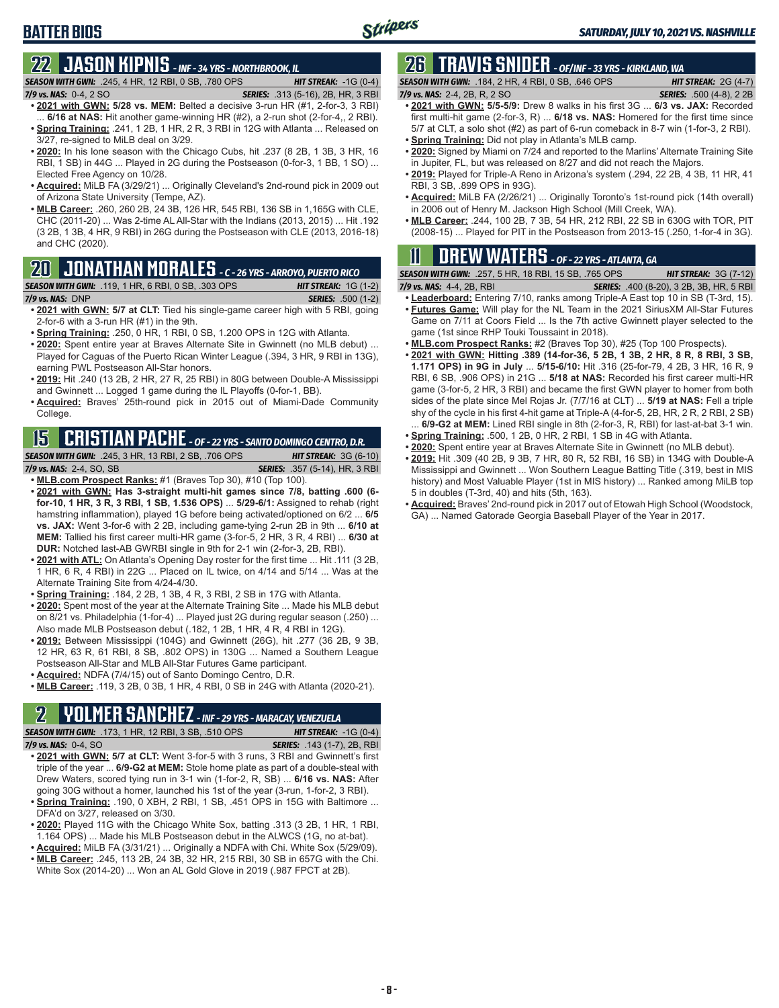# **22 JASON KIPNIS** *- INF - 34 YRS - NORTHBROOK, IL*

*SEASON WITH GWN:*.245, 4 HR, 12 RBI, 0 SB, .780 OPS *HIT STREAK:* -1G (0-4)

*SERIES:* .313 (5-16), 2B, HR, 3 RBI

- **• 2021 with GWN: 5/28 vs. MEM:** Belted a decisive 3-run HR (#1, 2-for-3, 3 RBI) ... **6/16 at NAS:** Hit another game-winning HR (#2), a 2-run shot (2-for-4,, 2 RBI). **• Spring Training:** .241, 1 2B, 1 HR, 2 R, 3 RBI in 12G with Atlanta ... Released on
- 3/27, re-signed to MiLB deal on 3/29. **• 2020:** In his lone season with the Chicago Cubs, hit .237 (8 2B, 1 3B, 3 HR, 16 RBI, 1 SB) in 44G ... Played in 2G during the Postseason (0-for-3, 1 BB, 1 SO) ... Elected Free Agency on 10/28.
- **• Acquired:** MiLB FA (3/29/21) ... Originally Cleveland's 2nd-round pick in 2009 out of Arizona State University (Tempe, AZ).
- **• MLB Career:** .260, 260 2B, 24 3B, 126 HR, 545 RBI, 136 SB in 1,165G with CLE, CHC (2011-20) ... Was 2-time AL All-Star with the Indians (2013, 2015) ... Hit .192 (3 2B, 1 3B, 4 HR, 9 RBI) in 26G during the Postseason with CLE (2013, 2016-18) and CHC (2020).

### **20 JONATHAN MORALES** *- C - 26 YRS - ARROYO, PUERTO RICO*

#### *SEASON WITH GWN:*.119, 1 HR, 6 RBI, 0 SB, .303 OPS *HIT STREAK:* 1G (1-2)

*7/9 vs. NAS:*DNP *SERIES:* .500 (1-2)

- **• 2021 with GWN: 5/7 at CLT:** Tied his single-game career high with 5 RBI, going 2-for-6 with a 3-run HR (#1) in the 9th.
- **• Spring Training:** .250, 0 HR, 1 RBI, 0 SB, 1.200 OPS in 12G with Atlanta.
- **• 2020:** Spent entire year at Braves Alternate Site in Gwinnett (no MLB debut) ... Played for Caguas of the Puerto Rican Winter League (.394, 3 HR, 9 RBI in 13G), earning PWL Postseason All-Star honors.
- **• 2019:** Hit .240 (13 2B, 2 HR, 27 R, 25 RBI) in 80G between Double-A Mississippi and Gwinnett ... Logged 1 game during the IL Playoffs (0-for-1, BB).
- **• Acquired:** Braves' 25th-round pick in 2015 out of Miami-Dade Community College.

# **15 CRISTIAN PACHE** *- OF - 22 YRS - SANTO DOMINGO CENTRO, D.R.*

- *SEASON WITH GWN:*.245, 3 HR, 13 RBI, 2 SB, .706 OPS *HIT STREAK:* 3G (6-10) *7/9 vs. NAS:* 2-4, SO, SB *SERIES:* .357 (5-14), HR, 3 RBI **• MLB.com Prospect Ranks:** #1 (Braves Top 30), #10 (Top 100).
- **• 2021 with GWN: Has 3-straight multi-hit games since 7/8, batting .600 (6 for-10, 1 HR, 3 R, 3 RBI, 1 SB, 1.536 OPS)** ... **5/29-6/1:** Assigned to rehab (right hamstring inflammation), played 1G before being activated/optioned on 6/2 ... **6/5 vs. JAX:** Went 3-for-6 with 2 2B, including game-tying 2-run 2B in 9th ... **6/10 at MEM:** Tallied his first career multi-HR game (3-for-5, 2 HR, 3 R, 4 RBI) ... **6/30 at DUR:** Notched last-AB GWRBI single in 9th for 2-1 win (2-for-3, 2B, RBI).
- **• 2021 with ATL:** On Atlanta's Opening Day roster for the first time ... Hit .111 (3 2B, 1 HR, 6 R, 4 RBI) in 22G ... Placed on IL twice, on 4/14 and 5/14 ... Was at the Alternate Training Site from 4/24-4/30.
- **• Spring Training:** .184, 2 2B, 1 3B, 4 R, 3 RBI, 2 SB in 17G with Atlanta.
- **• 2020:** Spent most of the year at the Alternate Training Site ... Made his MLB debut on 8/21 vs. Philadelphia (1-for-4) ... Played just 2G during regular season (.250) ... Also made MLB Postseason debut (.182, 1 2B, 1 HR, 4 R, 4 RBI in 12G).
- **• 2019:** Between Mississippi (104G) and Gwinnett (26G), hit .277 (36 2B, 9 3B, 12 HR, 63 R, 61 RBI, 8 SB, .802 OPS) in 130G ... Named a Southern League Postseason All-Star and MLB All-Star Futures Game participant.
- **• Acquired:** NDFA (7/4/15) out of Santo Domingo Centro, D.R.
- **• MLB Career:** .119, 3 2B, 0 3B, 1 HR, 4 RBI, 0 SB in 24G with Atlanta (2020-21).

# **2 YOLMER SANCHEZ** *- INF - 29 YRS - MARACAY, VENEZUELA*

| <b>SEASON WITH GWN:</b> .173, 1 HR, 12 RBI, 3 SB, .510 OPS | <b>HIT STREAK:</b> $-1G(0-4)$      |
|------------------------------------------------------------|------------------------------------|
| $7/9$ vs. NAS: $0-4.$ SO                                   | <b>SERIES:</b> .143 (1-7). 2B. RBI |

- **• 2021 with GWN: 5/7 at CLT:** Went 3-for-5 with 3 runs, 3 RBI and Gwinnett's first triple of the year ... **6/9-G2 at MEM:** Stole home plate as part of a double-steal with Drew Waters, scored tying run in 3-1 win (1-for-2, R, SB) ... **6/16 vs. NAS:** After going 30G without a homer, launched his 1st of the year (3-run, 1-for-2, 3 RBI).
- **• Spring Training:** .190, 0 XBH, 2 RBI, 1 SB, .451 OPS in 15G with Baltimore ... DFA'd on 3/27, released on 3/30.
- **• 2020:** Played 11G with the Chicago White Sox, batting .313 (3 2B, 1 HR, 1 RBI, 1.164 OPS) ... Made his MLB Postseason debut in the ALWCS (1G, no at-bat).
- **• Acquired:** MiLB FA (3/31/21) ... Originally a NDFA with Chi. White Sox (5/29/09). **• MLB Career:** .245, 113 2B, 24 3B, 32 HR, 215 RBI, 30 SB in 657G with the Chi.
- White Sox (2014-20) ... Won an AL Gold Glove in 2019 (.987 FPCT at 2B).

# **26 TRAVIS SNIDER** *- OF/INF - 33 YRS - KIRKLAND, WA*

| <b>SEASON WITH GWN:</b> .184, 2 HR, 4 RBI, 0 SB, .646 OPS.        | <b>HIT STREAK:</b> $2G(4-7)$    |
|-------------------------------------------------------------------|---------------------------------|
| 7/9 vs. NAS: 2-4, 2B, R, 2 SO                                     | <b>SERIES:</b> .500 (4-8), 2 2B |
| $.9094$ with CIAIN, EIE EIO, Drow 8 walks in his first $90^\circ$ | CD ve IAV, Doorded              |

- **• 2021 with GWN: 5/5-5/9:** Drew 8 walks in his first 3G ... **6/3 vs. JAX:** Recorded first multi-hit game (2-for-3, R) ... **6/18 vs. NAS:** Homered for the first time since 5/7 at CLT, a solo shot (#2) as part of 6-run comeback in 8-7 win (1-for-3, 2 RBI).
- **• Spring Training:** Did not play in Atlanta's MLB camp.
- **• 2020:** Signed by Miami on 7/24 and reported to the Marlins' Alternate Training Site in Jupiter, FL, but was released on 8/27 and did not reach the Majors.
- **• 2019:** Played for Triple-A Reno in Arizona's system (.294, 22 2B, 4 3B, 11 HR, 41 RBI, 3 SB, .899 OPS in 93G).
- **• Acquired:** MiLB FA (2/26/21) ... Originally Toronto's 1st-round pick (14th overall) in 2006 out of Henry M. Jackson High School (Mill Creek, WA).
- **• MLB Career:** .244, 100 2B, 7 3B, 54 HR, 212 RBI, 22 SB in 630G with TOR, PIT (2008-15) ... Played for PIT in the Postseason from 2013-15 (.250, 1-for-4 in 3G).

# **11 Drew WATERS** *- OF - 22 YRS - ATLANTA, GA*

| <b>SEASON WITH GWN:</b> .257, 5 HR, 18 RBI, 15 SB, .765 OPS |  |  |                                                                         | <b>HIT STREAK: 3G (7-12)</b> |  |  |
|-------------------------------------------------------------|--|--|-------------------------------------------------------------------------|------------------------------|--|--|
| ___ ___ ___ __                                              |  |  | $\ldots \ldots \ldots \ldots \ldots \ldots \ldots \ldots \ldots \ldots$ |                              |  |  |

- *7/9 vs. NAS:*4-4, 2B, RBI *SERIES:* .400 (8-20), 3 2B, 3B, HR, 5 RBI **• Leaderboard:** Entering 7/10, ranks among Triple-A East top 10 in SB (T-3rd, 15).
- **• Futures Game:** Will play for the NL Team in the 2021 SiriusXM All-Star Futures Game on 7/11 at Coors Field ... Is the 7th active Gwinnett player selected to the game (1st since RHP Touki Toussaint in 2018).
- **• MLB.com Prospect Ranks:** #2 (Braves Top 30), #25 (Top 100 Prospects).
- **• 2021 with GWN: Hitting .389 (14-for-36, 5 2B, 1 3B, 2 HR, 8 R, 8 RBI, 3 SB, 1.171 OPS) in 9G in July** ... **5/15-6/10:** Hit .316 (25-for-79, 4 2B, 3 HR, 16 R, 9 RBI, 6 SB, .906 OPS) in 21G ... **5/18 at NAS:** Recorded his first career multi-HR game (3-for-5, 2 HR, 3 RBI) and became the first GWN player to homer from both sides of the plate since Mel Rojas Jr. (7/7/16 at CLT) ... **5/19 at NAS:** Fell a triple shy of the cycle in his first 4-hit game at Triple-A (4-for-5, 2B, HR, 2 R, 2 RBI, 2 SB) ... **6/9-G2 at MEM:** Lined RBI single in 8th (2-for-3, R, RBI) for last-at-bat 3-1 win.
- **• Spring Training:** .500, 1 2B, 0 HR, 2 RBI, 1 SB in 4G with Atlanta.
- **• 2020:** Spent entire year at Braves Alternate Site in Gwinnett (no MLB debut).
- **• 2019:** Hit .309 (40 2B, 9 3B, 7 HR, 80 R, 52 RBI, 16 SB) in 134G with Double-A Mississippi and Gwinnett ... Won Southern League Batting Title (.319, best in MIS history) and Most Valuable Player (1st in MIS history) ... Ranked among MiLB top 5 in doubles (T-3rd, 40) and hits (5th, 163).
- **• Acquired:** Braves' 2nd-round pick in 2017 out of Etowah High School (Woodstock, GA) ... Named Gatorade Georgia Baseball Player of the Year in 2017.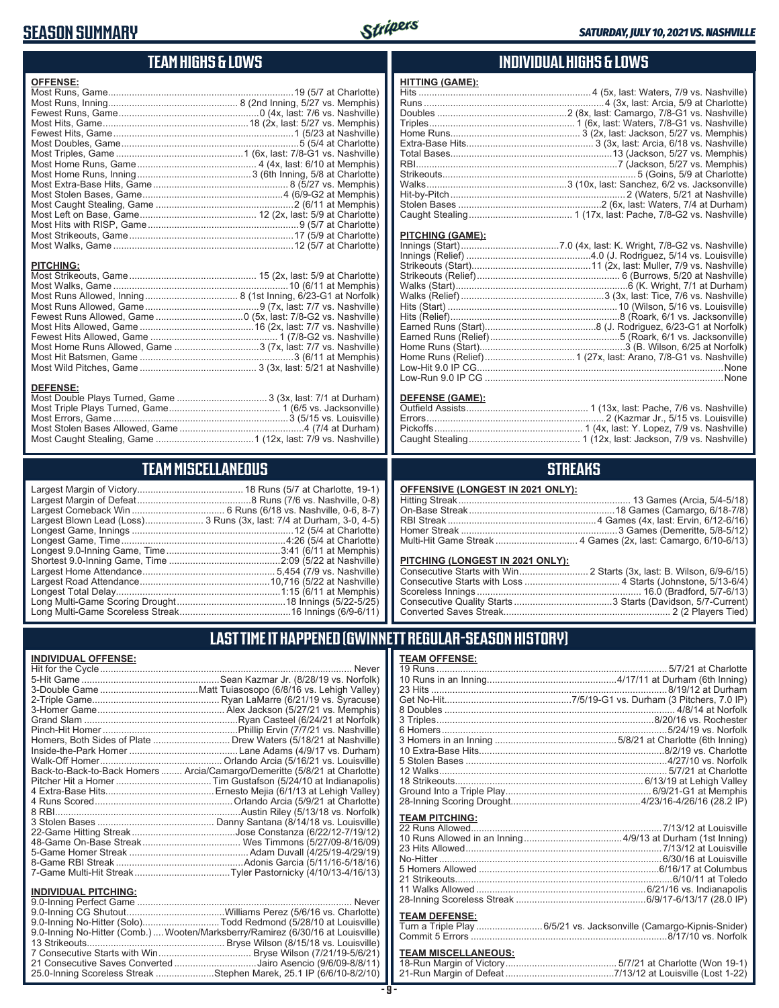#### **SEASON SUMMARY**

**DEFENSE:**

**INDIVIDUAL OFFENSE:**



#### **TEAM HIGHS & LOWS**

| <b>OFFENSE:</b>                                              |  |
|--------------------------------------------------------------|--|
|                                                              |  |
|                                                              |  |
|                                                              |  |
|                                                              |  |
|                                                              |  |
|                                                              |  |
|                                                              |  |
|                                                              |  |
|                                                              |  |
|                                                              |  |
|                                                              |  |
|                                                              |  |
|                                                              |  |
|                                                              |  |
|                                                              |  |
|                                                              |  |
|                                                              |  |
| <b>PITCHING:</b>                                             |  |
|                                                              |  |
|                                                              |  |
|                                                              |  |
|                                                              |  |
|                                                              |  |
|                                                              |  |
|                                                              |  |
| Most Home Runs Allowed, Game 3 (7x, last: 7/7 vs. Nashville) |  |

Most Hit Batsmen, Game ..........................................................3 (6/11 at Memphis) Most Wild Pitches, Game ............................................ 3 (3x, last: 5/21 at Nashville)

Most Double Plays Turned, Game .................................. 3 (3x, last: 7/1 at Durham) Most Triple Plays Turned, Game .......................................... 1 (6/5 vs. Jacksonville) Most Errors, Game ..................................................................3 (5/15 vs. Louisville) Most Stolen Bases Allowed, Game ...............................................4 (7/4 at Durham) Most Caught Stealing, Game .....................................1 (12x, last: 7/9 vs. Nashville)

**TEAM MISCELLANEOUS** Largest Margin of Victory........................................ 18 Runs (5/7 at Charlotte, 19-1) Largest Margin of Defeat ...........................................8 Runs (7/6 vs. Nashville, 0-8) Largest Comeback Win ................................... 6 Runs (6/18 vs. Nashville, 0-6, 8-7) Largest Blown Lead (Loss)...................... 3 Runs (3x, last: 7/4 at Durham, 3-0, 4-5) Longest Game, Innings .............................................................12 (5/4 at Charlotte) Longest Game, Time ..............................................................4:26 (5/4 at Charlotte) Longest 9.0-Inning Game, Time ...........................................3:41 (6/11 at Memphis) Shortest 9.0-Inning Game, Time ..........................................2:09 (5/22 at Nashville) Largest Home Attendance .................................................. 5,454 (7/9 vs. Nashville) Largest Road Attendance .................................................10,716 (5/22 at Nashville) Longest Total Delay..............................................................1:15 (6/11 at Memphis) Long Multi-Game Scoring Drought .........................................18 Innings (5/22-5/25) Long Multi-Game Scoreless Streak ..........................................16 Innings (6/9-6/11)

#### **INDIVIDUAL HIGHS & LOWS**

| <b>HITTING (GAME):</b>  |                                                      |
|-------------------------|------------------------------------------------------|
|                         |                                                      |
|                         |                                                      |
|                         |                                                      |
|                         |                                                      |
|                         |                                                      |
|                         |                                                      |
|                         |                                                      |
|                         |                                                      |
|                         |                                                      |
|                         |                                                      |
|                         |                                                      |
|                         |                                                      |
|                         |                                                      |
|                         |                                                      |
| <b>PITCHING (GAME):</b> |                                                      |
|                         |                                                      |
|                         |                                                      |
|                         |                                                      |
|                         |                                                      |
|                         |                                                      |
|                         |                                                      |
|                         |                                                      |
|                         |                                                      |
|                         |                                                      |
|                         |                                                      |
|                         |                                                      |
|                         |                                                      |
|                         |                                                      |
|                         |                                                      |
|                         | Low-Run 9.0 IP CG ………………………………………………………………………………None |

#### **DEFENSE (GAME):**

#### **STREAKS**

| OFFENSIVE (LONGEST IN 2021 ONLY): |  |  |
|-----------------------------------|--|--|
|-----------------------------------|--|--|

#### **PITCHING (LONGEST IN 2021 ONLY):**

| <u>THE STRIP (ESTIMATE) HT EVER SITE I A</u> |  |
|----------------------------------------------|--|
|                                              |  |
|                                              |  |
|                                              |  |
|                                              |  |
|                                              |  |
|                                              |  |

#### **LAST TIME IT HAPPENED (GWINNETT REGULAR-SEASON HISTORY)**

|                                | Back-to-Back-to-Back Homers  Arcia/Camargo/Demeritte (5/8/21 at Charlotte) |
|--------------------------------|----------------------------------------------------------------------------|
|                                |                                                                            |
|                                |                                                                            |
|                                |                                                                            |
|                                |                                                                            |
|                                |                                                                            |
|                                |                                                                            |
|                                |                                                                            |
|                                |                                                                            |
|                                |                                                                            |
| <b>INDIVIDUAL PITCHING:</b>    |                                                                            |
| <b>Q O-Inning Perfect Came</b> | Never                                                                      |

| 9.0-Inning No-Hitter (Comb.)  Wooten/Marksberry/Ramirez (6/30/16 at Louisville) |  |
|---------------------------------------------------------------------------------|--|
|                                                                                 |  |
|                                                                                 |  |
| 21 Consecutive Saves Converted Jairo Asencio (9/6/09-8/8/11)                    |  |
| 25.0-Inning Scoreless Streak Stephen Marek, 25.1 IP (6/6/10-8/2/10)             |  |
|                                                                                 |  |

| <b>TEAM OFFENSE:</b>  |  |
|-----------------------|--|
|                       |  |
|                       |  |
|                       |  |
|                       |  |
|                       |  |
|                       |  |
|                       |  |
|                       |  |
|                       |  |
|                       |  |
|                       |  |
|                       |  |
|                       |  |
|                       |  |
|                       |  |
| <b>TEAM PITCHING:</b> |  |
|                       |  |
|                       |  |
|                       |  |
|                       |  |
|                       |  |
|                       |  |
|                       |  |
|                       |  |
|                       |  |

#### **TEAM DEFENSE:**

| Turn a Triple Play 6/5/21 vs. Jacksonville (Camargo-Kipnis-Snider) |  |
|--------------------------------------------------------------------|--|
|                                                                    |  |

### **TEAM MISCELLANEOUS:**<br>18-Run Margin of Victory....

| 21-Run Margin of Defeat…………………………………7/13/12 at Louisville (Lost 1-22) |  |
|-----------------------------------------------------------------------|--|